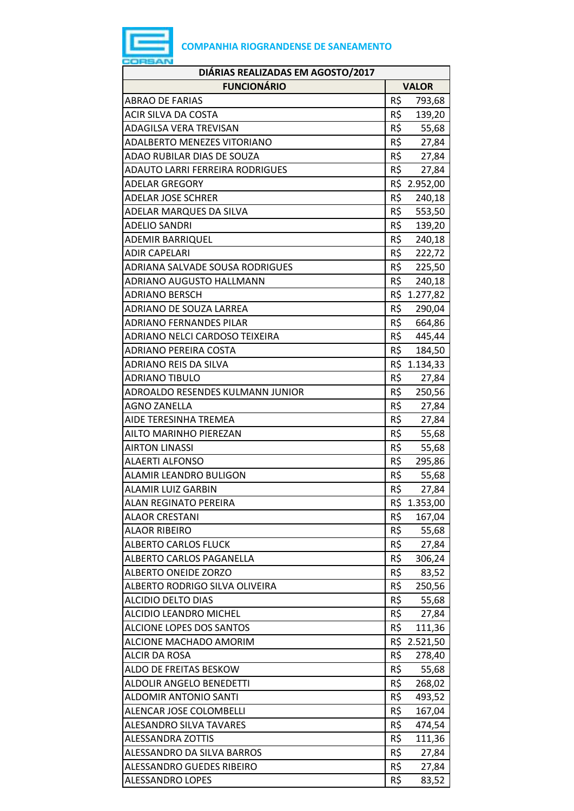| DIÁRIAS REALIZADAS EM AGOSTO/2017  |              |              |  |  |
|------------------------------------|--------------|--------------|--|--|
| <b>FUNCIONÁRIO</b>                 | <b>VALOR</b> |              |  |  |
| <b>ABRAO DE FARIAS</b>             | R\$          | 793,68       |  |  |
| ACIR SILVA DA COSTA                | R\$          | 139,20       |  |  |
| ADAGILSA VERA TREVISAN             | R\$          | 55,68        |  |  |
| <b>ADALBERTO MENEZES VITORIANO</b> | R\$          | 27,84        |  |  |
| ADAO RUBILAR DIAS DE SOUZA         | R\$          | 27,84        |  |  |
| ADAUTO LARRI FERREIRA RODRIGUES    | R\$          | 27,84        |  |  |
| <b>ADELAR GREGORY</b>              |              | R\$ 2.952,00 |  |  |
| <b>ADELAR JOSE SCHRER</b>          | R\$          | 240,18       |  |  |
| ADELAR MARQUES DA SILVA            | R\$          | 553,50       |  |  |
| <b>ADELIO SANDRI</b>               | R\$          | 139,20       |  |  |
| <b>ADEMIR BARRIQUEL</b>            | R\$          | 240,18       |  |  |
| <b>ADIR CAPELARI</b>               | R\$          | 222,72       |  |  |
| ADRIANA SALVADE SOUSA RODRIGUES    |              | R\$ 225,50   |  |  |
| <b>ADRIANO AUGUSTO HALLMANN</b>    |              | R\$ 240,18   |  |  |
| <b>ADRIANO BERSCH</b>              |              | R\$ 1.277,82 |  |  |
| ADRIANO DE SOUZA LARREA            | R\$          | 290,04       |  |  |
| <b>ADRIANO FERNANDES PILAR</b>     | R\$          | 664,86       |  |  |
| ADRIANO NELCI CARDOSO TEIXEIRA     |              | R\$ 445,44   |  |  |
| <b>ADRIANO PEREIRA COSTA</b>       | R\$          | 184,50       |  |  |
| <b>ADRIANO REIS DA SILVA</b>       |              | R\$ 1.134,33 |  |  |
| <b>ADRIANO TIBULO</b>              | R\$          | 27,84        |  |  |
| ADROALDO RESENDES KULMANN JUNIOR   | R\$          | 250,56       |  |  |
| <b>AGNO ZANELLA</b>                | R\$          | 27,84        |  |  |
| AIDE TERESINHA TREMEA              | R\$          | 27,84        |  |  |
| AILTO MARINHO PIEREZAN             | R\$          | 55,68        |  |  |
| <b>AIRTON LINASSI</b>              | R\$          | 55,68        |  |  |
| <b>ALAERTI ALFONSO</b>             | R\$          | 295,86       |  |  |
| <b>ALAMIR LEANDRO BULIGON</b>      | R\$          | 55,68        |  |  |
| <b>ALAMIR LUIZ GARBIN</b>          | R\$          | 27,84        |  |  |
| ALAN REGINATO PEREIRA              |              | R\$ 1.353,00 |  |  |
| <b>ALAOR CRESTANI</b>              | R\$          | 167,04       |  |  |
| <b>ALAOR RIBEIRO</b>               | R\$          | 55,68        |  |  |
| <b>ALBERTO CARLOS FLUCK</b>        | R\$          | 27,84        |  |  |
| ALBERTO CARLOS PAGANELLA           | R\$          | 306,24       |  |  |
| <b>ALBERTO ONEIDE ZORZO</b>        | R\$          | 83,52        |  |  |
| ALBERTO RODRIGO SILVA OLIVEIRA     | R\$          | 250,56       |  |  |
| ALCIDIO DELTO DIAS                 | R\$          | 55,68        |  |  |
| ALCIDIO LEANDRO MICHEL             | R\$          | 27,84        |  |  |
| ALCIONE LOPES DOS SANTOS           | R\$          | 111,36       |  |  |
| ALCIONE MACHADO AMORIM             |              | R\$ 2.521,50 |  |  |
| <b>ALCIR DA ROSA</b>               | R\$          | 278,40       |  |  |
| ALDO DE FREITAS BESKOW             | R\$          | 55,68        |  |  |
| ALDOLIR ANGELO BENEDETTI           | R\$          | 268,02       |  |  |
| <b>ALDOMIR ANTONIO SANTI</b>       | R\$          | 493,52       |  |  |
| ALENCAR JOSE COLOMBELLI            | R\$          | 167,04       |  |  |
| ALESANDRO SILVA TAVARES            | R\$          | 474,54       |  |  |
| <b>ALESSANDRA ZOTTIS</b>           | R\$          | 111,36       |  |  |
| ALESSANDRO DA SILVA BARROS         | R\$          | 27,84        |  |  |
| ALESSANDRO GUEDES RIBEIRO          | R\$          | 27,84        |  |  |
| <b>ALESSANDRO LOPES</b>            | R\$          | 83,52        |  |  |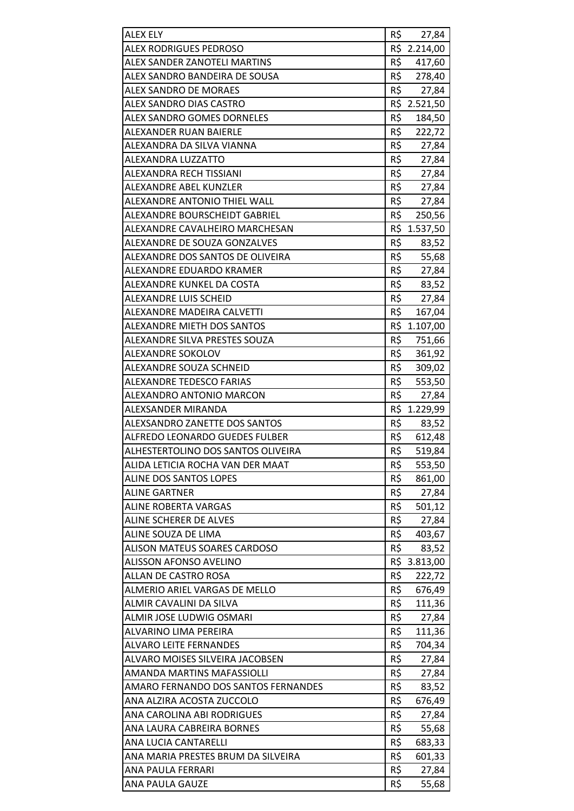| <b>ALEX ELY</b>                      | R\$ | 27,84        |
|--------------------------------------|-----|--------------|
| <b>ALEX RODRIGUES PEDROSO</b>        |     | R\$ 2.214,00 |
| ALEX SANDER ZANOTELI MARTINS         | R\$ | 417,60       |
| ALEX SANDRO BANDEIRA DE SOUSA        |     | R\$ 278,40   |
| <b>ALEX SANDRO DE MORAES</b>         | R\$ | 27,84        |
| ALEX SANDRO DIAS CASTRO              |     | R\$ 2.521,50 |
| ALEX SANDRO GOMES DORNELES           | R\$ | 184,50       |
| ALEXANDER RUAN BAIERLE               | R\$ | 222,72       |
| ALEXANDRA DA SILVA VIANNA            | R\$ | 27,84        |
| ALEXANDRA LUZZATTO                   | R\$ | 27,84        |
| ALEXANDRA RECH TISSIANI              | R\$ | 27,84        |
| ALEXANDRE ABEL KUNZLER               | R\$ | 27,84        |
| ALEXANDRE ANTONIO THIEL WALL         | R\$ | 27,84        |
| ALEXANDRE BOURSCHEIDT GABRIEL        | R\$ | 250,56       |
| ALEXANDRE CAVALHEIRO MARCHESAN       |     | R\$ 1.537,50 |
| ALEXANDRE DE SOUZA GONZALVES         | R\$ | 83,52        |
| ALEXANDRE DOS SANTOS DE OLIVEIRA     | R\$ | 55,68        |
| ALEXANDRE EDUARDO KRAMER             | R\$ | 27,84        |
| ALEXANDRE KUNKEL DA COSTA            | R\$ | 83,52        |
| <b>ALEXANDRE LUIS SCHEID</b>         | R\$ | 27,84        |
| ALEXANDRE MADEIRA CALVETTI           | R\$ | 167,04       |
| ALEXANDRE MIETH DOS SANTOS           |     | R\$ 1.107,00 |
| ALEXANDRE SILVA PRESTES SOUZA        | R\$ | 751,66       |
| ALEXANDRE SOKOLOV                    | R\$ | 361,92       |
| ALEXANDRE SOUZA SCHNEID              | R\$ | 309,02       |
| <b>ALEXANDRE TEDESCO FARIAS</b>      | R\$ | 553,50       |
| ALEXANDRO ANTONIO MARCON             | R\$ | 27,84        |
| ALEXSANDER MIRANDA                   |     | R\$ 1.229,99 |
| <b>ALEXSANDRO ZANETTE DOS SANTOS</b> | R\$ | 83,52        |
| ALFREDO LEONARDO GUEDES FULBER       | R\$ | 612,48       |
| ALHESTERTOLINO DOS SANTOS OLIVEIRA   | R\$ | 519,84       |
| ALIDA LETICIA ROCHA VAN DER MAAT     | R\$ | 553,50       |
| <b>ALINE DOS SANTOS LOPES</b>        | R\$ | 861,00       |
| <b>ALINE GARTNER</b>                 | R\$ | 27,84        |
| <b>ALINE ROBERTA VARGAS</b>          | R\$ | 501,12       |
| ALINE SCHERER DE ALVES               | R\$ | 27,84        |
| ALINE SOUZA DE LIMA                  | R\$ | 403,67       |
| ALISON MATEUS SOARES CARDOSO         | R\$ | 83,52        |
| <b>ALISSON AFONSO AVELINO</b>        |     | R\$ 3.813,00 |
| ALLAN DE CASTRO ROSA                 | R\$ | 222,72       |
| ALMERIO ARIEL VARGAS DE MELLO        | R\$ | 676,49       |
| ALMIR CAVALINI DA SILVA              | R\$ | 111,36       |
| ALMIR JOSE LUDWIG OSMARI             | R\$ | 27,84        |
| ALVARINO LIMA PEREIRA                | R\$ | 111,36       |
| <b>ALVARO LEITE FERNANDES</b>        | R\$ | 704,34       |
| ALVARO MOISES SILVEIRA JACOBSEN      | R\$ | 27,84        |
| AMANDA MARTINS MAFASSIOLLI           | R\$ | 27,84        |
| AMARO FERNANDO DOS SANTOS FERNANDES  | R\$ | 83,52        |
| ANA ALZIRA ACOSTA ZUCCOLO            | R\$ | 676,49       |
| ANA CAROLINA ABI RODRIGUES           | R\$ | 27,84        |
| ANA LAURA CABREIRA BORNES            | R\$ | 55,68        |
| ANA LUCIA CANTARELLI                 | R\$ | 683,33       |
| ANA MARIA PRESTES BRUM DA SILVEIRA   | R\$ | 601,33       |
| ANA PAULA FERRARI                    | R\$ | 27,84        |
| ANA PAULA GAUZE                      | R\$ | 55,68        |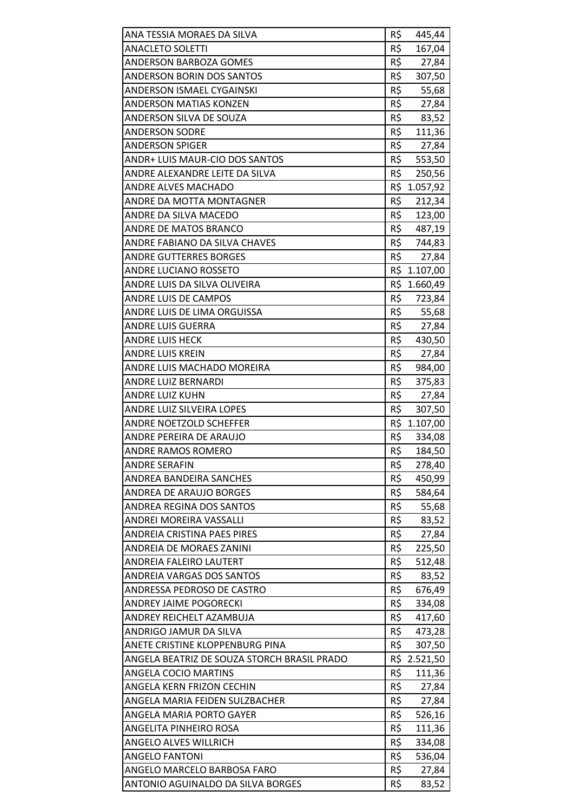| ANA TESSIA MORAES DA SILVA                  | R\$ | 445,44       |
|---------------------------------------------|-----|--------------|
| <b>ANACLETO SOLETTI</b>                     | R\$ | 167,04       |
| ANDERSON BARBOZA GOMES                      | R\$ | 27,84        |
| ANDERSON BORIN DOS SANTOS                   | R\$ | 307,50       |
| <b>ANDERSON ISMAEL CYGAINSKI</b>            | R\$ | 55,68        |
| <b>ANDERSON MATIAS KONZEN</b>               | R\$ | 27,84        |
| ANDERSON SILVA DE SOUZA                     | R\$ | 83,52        |
| <b>ANDERSON SODRE</b>                       | R\$ | 111,36       |
| <b>ANDERSON SPIGER</b>                      | R\$ | 27,84        |
| ANDR+ LUIS MAUR-CIO DOS SANTOS              | R\$ | 553,50       |
| ANDRE ALEXANDRE LEITE DA SILVA              | R\$ | 250,56       |
| <b>ANDRE ALVES MACHADO</b>                  | R\$ | 1.057,92     |
| ANDRE DA MOTTA MONTAGNER                    | R\$ | 212,34       |
| ANDRE DA SILVA MACEDO                       | R\$ | 123,00       |
| ANDRE DE MATOS BRANCO                       |     | R\$ 487,19   |
| ANDRE FABIANO DA SILVA CHAVES               | R\$ | 744,83       |
| <b>ANDRE GUTTERRES BORGES</b>               | R\$ | 27,84        |
| <b>ANDRE LUCIANO ROSSETO</b>                | R\$ | 1.107,00     |
| ANDRE LUIS DA SILVA OLIVEIRA                |     | R\$ 1.660,49 |
| ANDRE LUIS DE CAMPOS                        | R\$ | 723,84       |
| ANDRE LUIS DE LIMA ORGUISSA                 | R\$ | 55,68        |
| <b>ANDRE LUIS GUERRA</b>                    | R\$ | 27,84        |
| <b>ANDRE LUIS HECK</b>                      | R\$ | 430,50       |
| <b>ANDRE LUIS KREIN</b>                     | R\$ | 27,84        |
| ANDRE LUIS MACHADO MOREIRA                  | R\$ | 984,00       |
| ANDRE LUIZ BERNARDI                         | R\$ | 375,83       |
| <b>ANDRE LUIZ KUHN</b>                      | R\$ | 27,84        |
| ANDRE LUIZ SILVEIRA LOPES                   | R\$ | 307,50       |
| ANDRE NOETZOLD SCHEFFER                     |     | R\$ 1.107,00 |
| ANDRE PEREIRA DE ARAUJO                     | R\$ | 334,08       |
| <b>ANDRE RAMOS ROMERO</b>                   | R\$ | 184,50       |
| <b>ANDRE SERAFIN</b>                        | R\$ | 278,40       |
| ANDREA BANDEIRA SANCHES                     | R\$ | 450,99       |
| <b>ANDREA DE ARAUJO BORGES</b>              | R\$ | 584,64       |
| ANDREA REGINA DOS SANTOS                    | R\$ | 55,68        |
| <b>ANDREI MOREIRA VASSALLI</b>              | R\$ | 83,52        |
| <b>ANDREIA CRISTINA PAES PIRES</b>          | R\$ | 27,84        |
| ANDREIA DE MORAES ZANINI                    | R\$ | 225,50       |
| ANDREIA FALEIRO LAUTERT                     | R\$ | 512,48       |
| <b>ANDREIA VARGAS DOS SANTOS</b>            | R\$ | 83,52        |
| ANDRESSA PEDROSO DE CASTRO                  | R\$ | 676,49       |
| <b>ANDREY JAIME POGORECKI</b>               | R\$ | 334,08       |
| ANDREY REICHELT AZAMBUJA                    | R\$ | 417,60       |
| ANDRIGO JAMUR DA SILVA                      | R\$ | 473,28       |
| ANETE CRISTINE KLOPPENBURG PINA             | R\$ | 307,50       |
| ANGELA BEATRIZ DE SOUZA STORCH BRASIL PRADO |     | R\$ 2.521,50 |
| <b>ANGELA COCIO MARTINS</b>                 | R\$ | 111,36       |
| ANGELA KERN FRIZON CECHIN                   | R\$ | 27,84        |
| ANGELA MARIA FEIDEN SULZBACHER              | R\$ | 27,84        |
| ANGELA MARIA PORTO GAYER                    | R\$ | 526,16       |
| ANGELITA PINHEIRO ROSA                      | R\$ | 111,36       |
| ANGELO ALVES WILLRICH                       | R\$ | 334,08       |
| <b>ANGELO FANTONI</b>                       | R\$ | 536,04       |
| ANGELO MARCELO BARBOSA FARO                 | R\$ | 27,84        |
| ANTONIO AGUINALDO DA SILVA BORGES           | R\$ | 83,52        |
|                                             |     |              |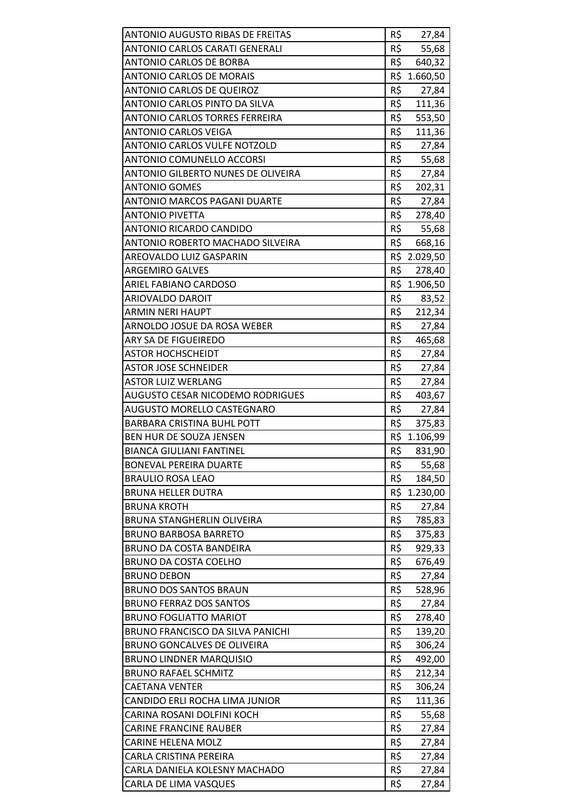| <b>ANTONIO AUGUSTO RIBAS DE FREITAS</b> | R\$ | 27,84        |
|-----------------------------------------|-----|--------------|
| ANTONIO CARLOS CARATI GENERALI          | R\$ | 55,68        |
| <b>ANTONIO CARLOS DE BORBA</b>          | R\$ | 640,32       |
| <b>ANTONIO CARLOS DE MORAIS</b>         | R\$ | 1.660,50     |
| <b>ANTONIO CARLOS DE QUEIROZ</b>        | R\$ | 27,84        |
| ANTONIO CARLOS PINTO DA SILVA           | R\$ | 111,36       |
| <b>ANTONIO CARLOS TORRES FERREIRA</b>   | R\$ | 553,50       |
| <b>ANTONIO CARLOS VEIGA</b>             | R\$ | 111,36       |
| <b>ANTONIO CARLOS VULFE NOTZOLD</b>     | R\$ | 27,84        |
| <b>ANTONIO COMUNELLO ACCORSI</b>        | R\$ | 55,68        |
| ANTONIO GILBERTO NUNES DE OLIVEIRA      | R\$ | 27,84        |
| <b>ANTONIO GOMES</b>                    | R\$ | 202,31       |
| ANTONIO MARCOS PAGANI DUARTE            | R\$ | 27,84        |
| <b>ANTONIO PIVETTA</b>                  | R\$ | 278,40       |
| <b>ANTONIO RICARDO CANDIDO</b>          | R\$ | 55,68        |
| ANTONIO ROBERTO MACHADO SILVEIRA        | R\$ | 668,16       |
| AREOVALDO LUIZ GASPARIN                 |     | R\$ 2.029,50 |
| <b>ARGEMIRO GALVES</b>                  | R\$ | 278,40       |
| ARIEL FABIANO CARDOSO                   |     | R\$ 1.906,50 |
| ARIOVALDO DAROIT                        | R\$ | 83,52        |
| <b>ARMIN NERI HAUPT</b>                 | R\$ | 212,34       |
| ARNOLDO JOSUE DA ROSA WEBER             | R\$ | 27,84        |
| ARY SA DE FIGUEIREDO                    | R\$ | 465,68       |
| <b>ASTOR HOCHSCHEIDT</b>                | R\$ | 27,84        |
| <b>ASTOR JOSE SCHNEIDER</b>             | R\$ | 27,84        |
| <b>ASTOR LUIZ WERLANG</b>               | R\$ | 27,84        |
| <b>AUGUSTO CESAR NICODEMO RODRIGUES</b> | R\$ | 403,67       |
| <b>AUGUSTO MORELLO CASTEGNARO</b>       | R\$ | 27,84        |
| <b>BARBARA CRISTINA BUHL POTT</b>       | R\$ | 375,83       |
| BEN HUR DE SOUZA JENSEN                 |     | R\$ 1.106,99 |
| <b>BIANCA GIULIANI FANTINEL</b>         | R\$ | 831,90       |
| <b>BONEVAL PEREIRA DUARTE</b>           | R\$ | 55,68        |
| <b>BRAULIO ROSA LEAO</b>                | R\$ | 184,50       |
| <b>BRUNA HELLER DUTRA</b>               |     | R\$ 1.230,00 |
| <b>BRUNA KROTH</b>                      | R\$ | 27,84        |
| BRUNA STANGHERLIN OLIVEIRA              | R\$ | 785,83       |
| <b>BRUNO BARBOSA BARRETO</b>            | R\$ | 375,83       |
| BRUNO DA COSTA BANDEIRA                 | R\$ | 929,33       |
| BRUNO DA COSTA COELHO                   | R\$ | 676,49       |
| <b>BRUNO DEBON</b>                      | R\$ | 27,84        |
| <b>BRUNO DOS SANTOS BRAUN</b>           | R\$ | 528,96       |
| <b>BRUNO FERRAZ DOS SANTOS</b>          | R\$ | 27,84        |
| <b>BRUNO FOGLIATTO MARIOT</b>           | R\$ | 278,40       |
| BRUNO FRANCISCO DA SILVA PANICHI        | R\$ | 139,20       |
| BRUNO GONCALVES DE OLIVEIRA             | R\$ | 306,24       |
| <b>BRUNO LINDNER MARQUISIO</b>          | R\$ | 492,00       |
| <b>BRUNO RAFAEL SCHMITZ</b>             | R\$ | 212,34       |
| <b>CAETANA VENTER</b>                   | R\$ | 306,24       |
| CANDIDO ERLI ROCHA LIMA JUNIOR          | R\$ | 111,36       |
| CARINA ROSANI DOLFINI KOCH              | R\$ | 55,68        |
| <b>CARINE FRANCINE RAUBER</b>           | R\$ | 27,84        |
| <b>CARINE HELENA MOLZ</b>               | R\$ | 27,84        |
| CARLA CRISTINA PEREIRA                  | R\$ | 27,84        |
| CARLA DANIELA KOLESNY MACHADO           | R\$ | 27,84        |
| CARLA DE LIMA VASQUES                   | R\$ | 27,84        |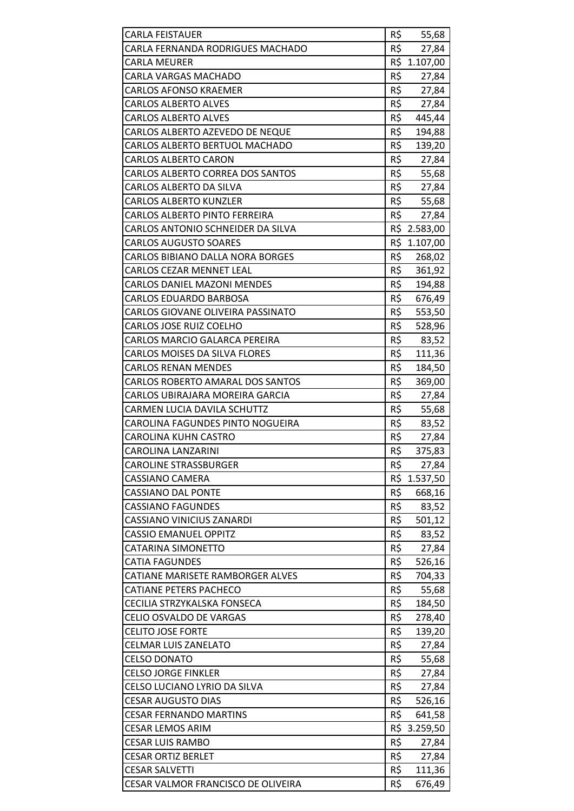| <b>CARLA FEISTAUER</b>               | R\$ | 55,68        |
|--------------------------------------|-----|--------------|
| CARLA FERNANDA RODRIGUES MACHADO     | R\$ | 27,84        |
| <b>CARLA MEURER</b>                  |     | R\$ 1.107,00 |
| CARLA VARGAS MACHADO                 | R\$ | 27,84        |
| <b>CARLOS AFONSO KRAEMER</b>         | R\$ | 27,84        |
| <b>CARLOS ALBERTO ALVES</b>          | R\$ | 27,84        |
| <b>CARLOS ALBERTO ALVES</b>          | R\$ | 445,44       |
| CARLOS ALBERTO AZEVEDO DE NEQUE      | R\$ | 194,88       |
| CARLOS ALBERTO BERTUOL MACHADO       | R\$ | 139,20       |
| <b>CARLOS ALBERTO CARON</b>          | R\$ | 27,84        |
| CARLOS ALBERTO CORREA DOS SANTOS     | R\$ | 55,68        |
| CARLOS ALBERTO DA SILVA              | R\$ | 27,84        |
| <b>CARLOS ALBERTO KUNZLER</b>        | R\$ | 55,68        |
| <b>CARLOS ALBERTO PINTO FERREIRA</b> | R\$ | 27,84        |
| CARLOS ANTONIO SCHNEIDER DA SILVA    |     | R\$ 2.583,00 |
| <b>CARLOS AUGUSTO SOARES</b>         |     | R\$ 1.107,00 |
| CARLOS BIBIANO DALLA NORA BORGES     | R\$ | 268,02       |
| <b>CARLOS CEZAR MENNET LEAL</b>      | R\$ | 361,92       |
| <b>CARLOS DANIEL MAZONI MENDES</b>   | R\$ | 194,88       |
| <b>CARLOS EDUARDO BARBOSA</b>        | R\$ | 676,49       |
| CARLOS GIOVANE OLIVEIRA PASSINATO    | R\$ | 553,50       |
| CARLOS JOSE RUIZ COELHO              | R\$ | 528,96       |
| CARLOS MARCIO GALARCA PEREIRA        | R\$ | 83,52        |
| <b>CARLOS MOISES DA SILVA FLORES</b> | R\$ | 111,36       |
| <b>CARLOS RENAN MENDES</b>           | R\$ | 184,50       |
| CARLOS ROBERTO AMARAL DOS SANTOS     | R\$ | 369,00       |
| CARLOS UBIRAJARA MOREIRA GARCIA      | R\$ | 27,84        |
| CARMEN LUCIA DAVILA SCHUTTZ          | R\$ | 55,68        |
| CAROLINA FAGUNDES PINTO NOGUEIRA     | R\$ | 83,52        |
| CAROLINA KUHN CASTRO                 | R\$ | 27,84        |
| <b>CAROLINA LANZARINI</b>            | R\$ | 375,83       |
| <b>CAROLINE STRASSBURGER</b>         | R\$ | 27,84        |
| <b>CASSIANO CAMERA</b>               |     | R\$ 1.537,50 |
| <b>CASSIANO DAL PONTE</b>            | R\$ | 668,16       |
| <b>CASSIANO FAGUNDES</b>             | R\$ | 83,52        |
| <b>CASSIANO VINICIUS ZANARDI</b>     | R\$ | 501,12       |
| <b>CASSIO EMANUEL OPPITZ</b>         | R\$ | 83,52        |
| <b>CATARINA SIMONETTO</b>            | R\$ | 27,84        |
| <b>CATIA FAGUNDES</b>                | R\$ | 526,16       |
| CATIANE MARISETE RAMBORGER ALVES     | R\$ | 704,33       |
| <b>CATIANE PETERS PACHECO</b>        | R\$ | 55,68        |
| CECILIA STRZYKALSKA FONSECA          | R\$ | 184,50       |
| <b>CELIO OSVALDO DE VARGAS</b>       | R\$ | 278,40       |
| <b>CELITO JOSE FORTE</b>             | R\$ | 139,20       |
| <b>CELMAR LUIS ZANELATO</b>          | R\$ | 27,84        |
| <b>CELSO DONATO</b>                  | R\$ | 55,68        |
| <b>CELSO JORGE FINKLER</b>           | R\$ | 27,84        |
| CELSO LUCIANO LYRIO DA SILVA         | R\$ | 27,84        |
| <b>CESAR AUGUSTO DIAS</b>            | R\$ | 526,16       |
| <b>CESAR FERNANDO MARTINS</b>        | R\$ | 641,58       |
| <b>CESAR LEMOS ARIM</b>              |     | R\$ 3.259,50 |
| <b>CESAR LUIS RAMBO</b>              | R\$ | 27,84        |
| <b>CESAR ORTIZ BERLET</b>            | R\$ | 27,84        |
| <b>CESAR SALVETTI</b>                | R\$ | 111,36       |
| CESAR VALMOR FRANCISCO DE OLIVEIRA   | R\$ | 676,49       |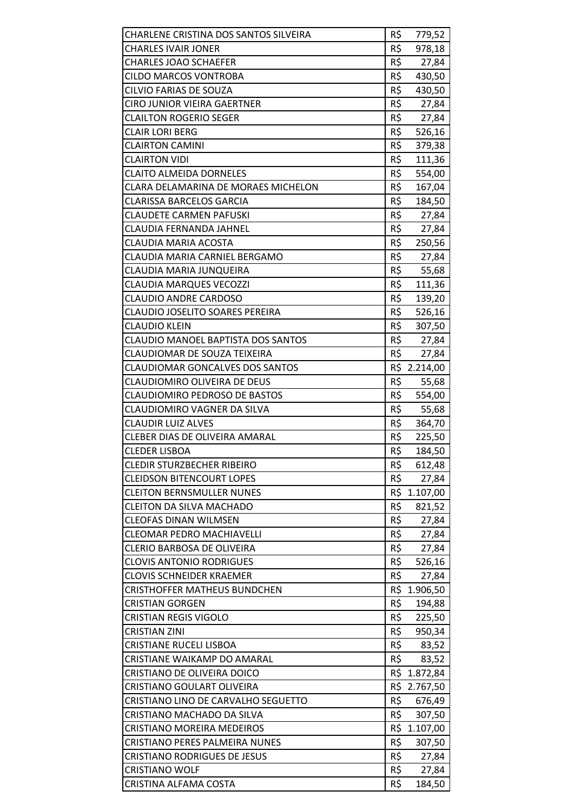| CHARLENE CRISTINA DOS SANTOS SILVEIRA  | R\$ | 779,52       |
|----------------------------------------|-----|--------------|
| <b>CHARLES IVAIR JONER</b>             | R\$ | 978,18       |
| <b>CHARLES JOAO SCHAEFER</b>           | R\$ | 27,84        |
| <b>CILDO MARCOS VONTROBA</b>           | R\$ | 430,50       |
| CILVIO FARIAS DE SOUZA                 | R\$ | 430,50       |
| CIRO JUNIOR VIEIRA GAERTNER            | R\$ | 27,84        |
| <b>CLAILTON ROGERIO SEGER</b>          | R\$ | 27,84        |
| <b>CLAIR LORI BERG</b>                 | R\$ | 526,16       |
| <b>CLAIRTON CAMINI</b>                 | R\$ | 379,38       |
| <b>CLAIRTON VIDI</b>                   | R\$ | 111,36       |
| <b>CLAITO ALMEIDA DORNELES</b>         | R\$ | 554,00       |
| CLARA DELAMARINA DE MORAES MICHELON    | R\$ | 167,04       |
| <b>CLARISSA BARCELOS GARCIA</b>        | R\$ | 184,50       |
| <b>CLAUDETE CARMEN PAFUSKI</b>         | R\$ | 27,84        |
| CLAUDIA FERNANDA JAHNEL                | R\$ | 27,84        |
| CLAUDIA MARIA ACOSTA                   | R\$ | 250,56       |
| CLAUDIA MARIA CARNIEL BERGAMO          | R\$ | 27,84        |
| CLAUDIA MARIA JUNQUEIRA                | R\$ | 55,68        |
| <b>CLAUDIA MARQUES VECOZZI</b>         | R\$ | 111,36       |
| <b>CLAUDIO ANDRE CARDOSO</b>           | R\$ | 139,20       |
| CLAUDIO JOSELITO SOARES PEREIRA        | R\$ | 526,16       |
| <b>CLAUDIO KLEIN</b>                   | R\$ | 307,50       |
| CLAUDIO MANOEL BAPTISTA DOS SANTOS     | R\$ | 27,84        |
| CLAUDIOMAR DE SOUZA TEIXEIRA           | R\$ | 27,84        |
| <b>CLAUDIOMAR GONCALVES DOS SANTOS</b> |     | R\$ 2.214,00 |
| CLAUDIOMIRO OLIVEIRA DE DEUS           | R\$ | 55,68        |
| <b>CLAUDIOMIRO PEDROSO DE BASTOS</b>   | R\$ | 554,00       |
| CLAUDIOMIRO VAGNER DA SILVA            | R\$ | 55,68        |
| <b>CLAUDIR LUIZ ALVES</b>              | R\$ | 364,70       |
| CLEBER DIAS DE OLIVEIRA AMARAL         | R\$ | 225,50       |
| <b>CLEDER LISBOA</b>                   | R\$ | 184,50       |
| <b>CLEDIR STURZBECHER RIBEIRO</b>      | R\$ | 612,48       |
| <b>CLEIDSON BITENCOURT LOPES</b>       | R\$ | 27,84        |
| <b>CLEITON BERNSMULLER NUNES</b>       |     | R\$ 1.107,00 |
| <b>CLEITON DA SILVA MACHADO</b>        | R\$ | 821,52       |
| <b>CLEOFAS DINAN WILMSEN</b>           | R\$ | 27,84        |
| <b>CLEOMAR PEDRO MACHIAVELLI</b>       | R\$ | 27,84        |
| CLERIO BARBOSA DE OLIVEIRA             | R\$ | 27,84        |
| <b>CLOVIS ANTONIO RODRIGUES</b>        | R\$ | 526,16       |
| <b>CLOVIS SCHNEIDER KRAEMER</b>        | R\$ | 27,84        |
| <b>CRISTHOFFER MATHEUS BUNDCHEN</b>    |     | R\$ 1.906,50 |
| <b>CRISTIAN GORGEN</b>                 | R\$ | 194,88       |
| <b>CRISTIAN REGIS VIGOLO</b>           | R\$ | 225,50       |
| <b>CRISTIAN ZINI</b>                   | R\$ | 950,34       |
| <b>CRISTIANE RUCELI LISBOA</b>         | R\$ | 83,52        |
| CRISTIANE WAIKAMP DO AMARAL            | R\$ | 83,52        |
| <b>CRISTIANO DE OLIVEIRA DOICO</b>     |     | R\$ 1.872,84 |
| CRISTIANO GOULART OLIVEIRA             | R\$ | 2.767,50     |
| CRISTIANO LINO DE CARVALHO SEGUETTO    | R\$ | 676,49       |
| CRISTIANO MACHADO DA SILVA             | R\$ | 307,50       |
| <b>CRISTIANO MOREIRA MEDEIROS</b>      |     | R\$ 1.107,00 |
| <b>CRISTIANO PERES PALMEIRA NUNES</b>  | R\$ | 307,50       |
| <b>CRISTIANO RODRIGUES DE JESUS</b>    | R\$ | 27,84        |
| <b>CRISTIANO WOLF</b>                  | R\$ | 27,84        |
| CRISTINA ALFAMA COSTA                  | R\$ | 184,50       |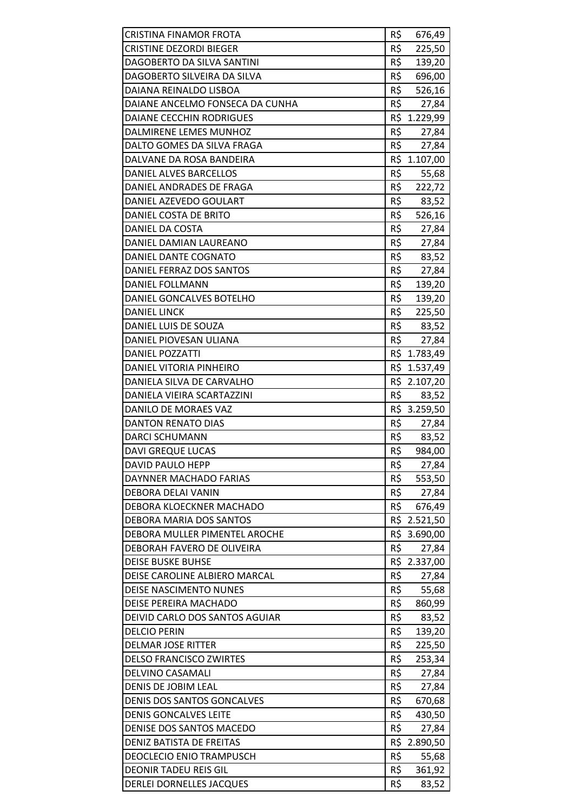| <b>CRISTINA FINAMOR FROTA</b>     | R\$ | 676,49       |
|-----------------------------------|-----|--------------|
| <b>CRISTINE DEZORDI BIEGER</b>    | R\$ | 225,50       |
| DAGOBERTO DA SILVA SANTINI        | R\$ | 139,20       |
| DAGOBERTO SILVEIRA DA SILVA       | R\$ | 696,00       |
| DAIANA REINALDO LISBOA            | R\$ | 526,16       |
| DAIANE ANCELMO FONSECA DA CUNHA   | R\$ | 27,84        |
| DAIANE CECCHIN RODRIGUES          | R\$ | 1.229,99     |
| DALMIRENE LEMES MUNHOZ            | R\$ | 27,84        |
| DALTO GOMES DA SILVA FRAGA        | R\$ | 27,84        |
| DALVANE DA ROSA BANDEIRA          |     | R\$ 1.107,00 |
| DANIEL ALVES BARCELLOS            | R\$ | 55,68        |
| DANIEL ANDRADES DE FRAGA          | R\$ | 222,72       |
| DANIEL AZEVEDO GOULART            | R\$ | 83,52        |
| DANIEL COSTA DE BRITO             | R\$ | 526,16       |
| DANIEL DA COSTA                   | R\$ | 27,84        |
| DANIEL DAMIAN LAUREANO            | R\$ | 27,84        |
| DANIEL DANTE COGNATO              | R\$ | 83,52        |
| DANIEL FERRAZ DOS SANTOS          | R\$ | 27,84        |
| DANIEL FOLLMANN                   | R\$ | 139,20       |
| DANIEL GONCALVES BOTELHO          | R\$ | 139,20       |
| <b>DANIEL LINCK</b>               | R\$ | 225,50       |
| DANIEL LUIS DE SOUZA              | R\$ | 83,52        |
| DANIEL PIOVESAN ULIANA            | R\$ | 27,84        |
| <b>DANIEL POZZATTI</b>            |     | R\$ 1.783,49 |
| DANIEL VITORIA PINHEIRO           |     | R\$ 1.537,49 |
| DANIELA SILVA DE CARVALHO         |     | R\$ 2.107,20 |
| DANIELA VIEIRA SCARTAZZINI        | R\$ | 83,52        |
| DANILO DE MORAES VAZ              |     | R\$ 3.259,50 |
| <b>DANTON RENATO DIAS</b>         | R\$ | 27,84        |
| <b>DARCI SCHUMANN</b>             | R\$ | 83,52        |
| <b>DAVI GREQUE LUCAS</b>          | R\$ | 984,00       |
| <b>DAVID PAULO HEPP</b>           | R\$ | 27,84        |
| DAYNNER MACHADO FARIAS            | R\$ | 553,50       |
| DEBORA DELAI VANIN                | R\$ | 27,84        |
| DEBORA KLOECKNER MACHADO          | R\$ | 676,49       |
| <b>DEBORA MARIA DOS SANTOS</b>    |     | R\$ 2.521,50 |
| DEBORA MULLER PIMENTEL AROCHE     |     | R\$ 3.690,00 |
| DEBORAH FAVERO DE OLIVEIRA        | R\$ | 27,84        |
| <b>DEISE BUSKE BUHSE</b>          |     | R\$ 2.337,00 |
| DEISE CAROLINE ALBIERO MARCAL     | R\$ | 27,84        |
| <b>DEISE NASCIMENTO NUNES</b>     | R\$ | 55,68        |
| DEISE PEREIRA MACHADO             | R\$ | 860,99       |
| DEIVID CARLO DOS SANTOS AGUIAR    | R\$ | 83,52        |
| <b>DELCIO PERIN</b>               | R\$ | 139,20       |
| <b>DELMAR JOSE RITTER</b>         | R\$ | 225,50       |
| <b>DELSO FRANCISCO ZWIRTES</b>    | R\$ | 253,34       |
| <b>DELVINO CASAMALI</b>           | R\$ | 27,84        |
| DENIS DE JOBIM LEAL               | R\$ | 27,84        |
| <b>DENIS DOS SANTOS GONCALVES</b> | R\$ | 670,68       |
| <b>DENIS GONCALVES LEITE</b>      | R\$ | 430,50       |
| DENISE DOS SANTOS MACEDO          | R\$ | 27,84        |
| DENIZ BATISTA DE FREITAS          | R\$ | 2.890,50     |
| <b>DEOCLECIO ENIO TRAMPUSCH</b>   | R\$ | 55,68        |
| <b>DEONIR TADEU REIS GIL</b>      | R\$ | 361,92       |
| <b>DERLEI DORNELLES JACQUES</b>   | R\$ | 83,52        |
|                                   |     |              |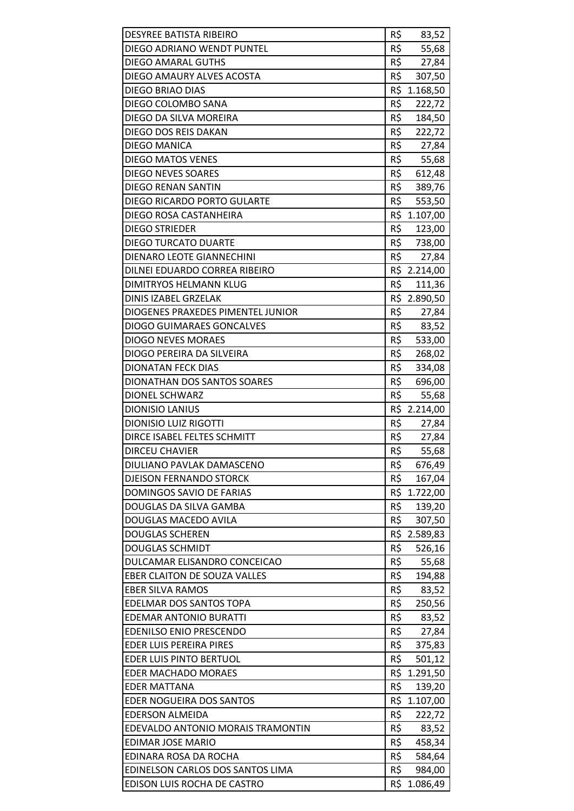| <b>DESYREE BATISTA RIBEIRO</b>      | R\$<br>83,52  |
|-------------------------------------|---------------|
| DIEGO ADRIANO WENDT PUNTEL          | R\$<br>55,68  |
| DIEGO AMARAL GUTHS                  | R\$<br>27,84  |
| DIEGO AMAURY ALVES ACOSTA           | R\$<br>307,50 |
| DIEGO BRIAO DIAS                    | R\$ 1.168,50  |
| DIEGO COLOMBO SANA                  | R\$<br>222,72 |
| DIEGO DA SILVA MOREIRA              | R\$<br>184,50 |
| DIEGO DOS REIS DAKAN                | R\$<br>222,72 |
| DIEGO MANICA                        | R\$<br>27,84  |
| <b>DIEGO MATOS VENES</b>            | R\$ 55,68     |
| <b>DIEGO NEVES SOARES</b>           | R\$<br>612,48 |
| <b>DIEGO RENAN SANTIN</b>           | R\$<br>389,76 |
| DIEGO RICARDO PORTO GULARTE         | R\$<br>553,50 |
| DIEGO ROSA CASTANHEIRA              | R\$ 1.107,00  |
| <b>DIEGO STRIEDER</b>               | R\$ 123,00    |
| <b>DIEGO TURCATO DUARTE</b>         | R\$<br>738,00 |
| DIENARO LEOTE GIANNECHINI           | R\$<br>27,84  |
| DILNEI EDUARDO CORREA RIBEIRO       | R\$ 2.214,00  |
| DIMITRYOS HELMANN KLUG              | R\$<br>111,36 |
| DINIS IZABEL GRZELAK                | R\$ 2.890,50  |
| DIOGENES PRAXEDES PIMENTEL JUNIOR   | R\$<br>27,84  |
| <b>DIOGO GUIMARAES GONCALVES</b>    | R\$<br>83,52  |
| <b>DIOGO NEVES MORAES</b>           | R\$<br>533,00 |
| DIOGO PEREIRA DA SILVEIRA           | R\$<br>268,02 |
| <b>DIONATAN FECK DIAS</b>           | R\$<br>334,08 |
| <b>DIONATHAN DOS SANTOS SOARES</b>  | R\$<br>696,00 |
| <b>DIONEL SCHWARZ</b>               | R\$<br>55,68  |
| <b>DIONISIO LANIUS</b>              | R\$ 2.214,00  |
| <b>DIONISIO LUIZ RIGOTTI</b>        | R\$<br>27,84  |
| DIRCE ISABEL FELTES SCHMITT         | R\$<br>27,84  |
| <b>DIRCEU CHAVIER</b>               | R\$<br>55,68  |
| DIULIANO PAVLAK DAMASCENO           | R\$<br>676,49 |
| <b>DJEISON FERNANDO STORCK</b>      | R\$<br>167,04 |
| DOMINGOS SAVIO DE FARIAS            | R\$ 1.722,00  |
| DOUGLAS DA SILVA GAMBA              | R\$<br>139,20 |
| <b>DOUGLAS MACEDO AVILA</b>         | R\$<br>307,50 |
| <b>DOUGLAS SCHEREN</b>              | R\$ 2.589,83  |
| <b>DOUGLAS SCHMIDT</b>              | R\$<br>526,16 |
| DULCAMAR ELISANDRO CONCEICAO        | R\$<br>55,68  |
| <b>EBER CLAITON DE SOUZA VALLES</b> | R\$<br>194,88 |
| <b>EBER SILVA RAMOS</b>             | R\$<br>83,52  |
| EDELMAR DOS SANTOS TOPA             | R\$<br>250,56 |
| <b>EDEMAR ANTONIO BURATTI</b>       | R\$<br>83,52  |
| <b>EDENILSO ENIO PRESCENDO</b>      | R\$<br>27,84  |
| <b>EDER LUIS PEREIRA PIRES</b>      | R\$<br>375,83 |
| EDER LUIS PINTO BERTUOL             | R\$<br>501,12 |
| <b>EDER MACHADO MORAES</b>          | R\$ 1.291,50  |
| <b>EDER MATTANA</b>                 | R\$<br>139,20 |
| EDER NOGUEIRA DOS SANTOS            | R\$ 1.107,00  |
| <b>EDERSON ALMEIDA</b>              | R\$<br>222,72 |
| EDEVALDO ANTONIO MORAIS TRAMONTIN   | R\$<br>83,52  |
| <b>EDIMAR JOSE MARIO</b>            | R\$<br>458,34 |
| EDINARA ROSA DA ROCHA               | R\$<br>584,64 |
| EDINELSON CARLOS DOS SANTOS LIMA    | R\$<br>984,00 |
| EDISON LUIS ROCHA DE CASTRO         | R\$ 1.086,49  |
|                                     |               |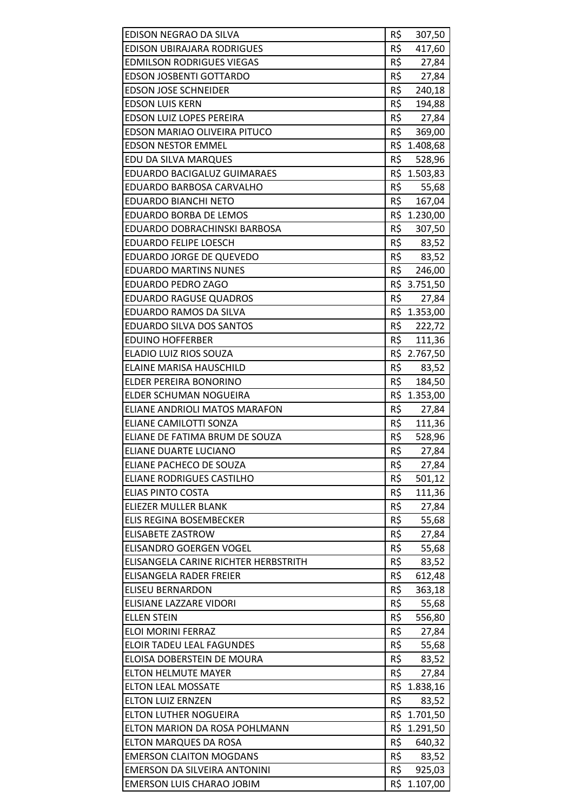| EDISON NEGRAO DA SILVA               | R\$<br>307,50           |
|--------------------------------------|-------------------------|
| <b>EDISON UBIRAJARA RODRIGUES</b>    | R\$<br>417,60           |
| <b>EDMILSON RODRIGUES VIEGAS</b>     | R\$<br>27,84            |
| <b>EDSON JOSBENTI GOTTARDO</b>       | R\$<br>27,84            |
| <b>EDSON JOSE SCHNEIDER</b>          | R\$<br>240,18           |
| <b>EDSON LUIS KERN</b>               | R\$<br>194,88           |
| <b>EDSON LUIZ LOPES PEREIRA</b>      | R\$<br>27,84            |
| EDSON MARIAO OLIVEIRA PITUCO         | R\$<br>369,00           |
| <b>EDSON NESTOR EMMEL</b>            | R\$ 1.408,68            |
| EDU DA SILVA MARQUES                 | R\$<br>528,96           |
| EDUARDO BACIGALUZ GUIMARAES          | R\$ 1.503,83            |
| EDUARDO BARBOSA CARVALHO             | R\$<br>55,68            |
| <b>EDUARDO BIANCHI NETO</b>          | R\$<br>167,04           |
| EDUARDO BORBA DE LEMOS               | R\$ 1.230,00            |
| EDUARDO DOBRACHINSKI BARBOSA         | R\$<br>307,50           |
| <b>EDUARDO FELIPE LOESCH</b>         | $R\frac{1}{2}$<br>83,52 |
| EDUARDO JORGE DE QUEVEDO             | R\$<br>83,52            |
| <b>EDUARDO MARTINS NUNES</b>         | R\$<br>246,00           |
| EDUARDO PEDRO ZAGO                   | R\$ 3.751,50            |
| <b>EDUARDO RAGUSE QUADROS</b>        | R\$<br>27,84            |
| EDUARDO RAMOS DA SILVA               | R\$ 1.353,00            |
| EDUARDO SILVA DOS SANTOS             | R\$<br>222,72           |
| <b>EDUINO HOFFERBER</b>              | R\$<br>111,36           |
| ELADIO LUIZ RIOS SOUZA               | R\$ 2.767,50            |
| <b>ELAINE MARISA HAUSCHILD</b>       | R\$ 83,52               |
| ELDER PEREIRA BONORINO               | R\$<br>184,50           |
| ELDER SCHUMAN NOGUEIRA               | R\$ 1.353,00            |
| ELIANE ANDRIOLI MATOS MARAFON        | R\$<br>27,84            |
| ELIANE CAMILOTTI SONZA               | R\$<br>111,36           |
| ELIANE DE FATIMA BRUM DE SOUZA       | R\$<br>528,96           |
| ELIANE DUARTE LUCIANO                | R\$<br>27,84            |
| ELIANE PACHECO DE SOUZA              | R\$<br>27,84            |
| <b>ELIANE RODRIGUES CASTILHO</b>     | R\$<br>501,12           |
| <b>ELIAS PINTO COSTA</b>             | R\$<br>111,36           |
| <b>ELIEZER MULLER BLANK</b>          | R\$<br>27,84            |
| ELIS REGINA BOSEMBECKER              | R\$<br>55,68            |
| <b>ELISABETE ZASTROW</b>             | R\$<br>27,84            |
| ELISANDRO GOERGEN VOGEL              | R\$<br>55,68            |
| ELISANGELA CARINE RICHTER HERBSTRITH | R\$<br>83,52            |
| ELISANGELA RADER FREIER              | R\$<br>612,48           |
| <b>ELISEU BERNARDON</b>              | R\$<br>363,18           |
| ELISIANE LAZZARE VIDORI              | R\$<br>55,68            |
| <b>ELLEN STEIN</b>                   | R\$<br>556,80           |
| <b>ELOI MORINI FERRAZ</b>            | R\$<br>27,84            |
| <b>ELOIR TADEU LEAL FAGUNDES</b>     | R\$<br>55,68            |
| ELOISA DOBERSTEIN DE MOURA           | R\$<br>83,52            |
| <b>ELTON HELMUTE MAYER</b>           | R\$<br>27,84            |
| <b>ELTON LEAL MOSSATE</b>            | R\$ 1.838,16            |
| <b>ELTON LUIZ ERNZEN</b>             | R\$<br>83,52            |
| ELTON LUTHER NOGUEIRA                | R\$ 1.701,50            |
| ELTON MARION DA ROSA POHLMANN        | R\$ 1.291,50            |
| <b>ELTON MARQUES DA ROSA</b>         | R\$<br>640,32           |
| <b>EMERSON CLAITON MOGDANS</b>       | R\$<br>83,52            |
| EMERSON DA SILVEIRA ANTONINI         | R\$<br>925,03           |
| <b>EMERSON LUIS CHARAO JOBIM</b>     | R\$ 1.107,00            |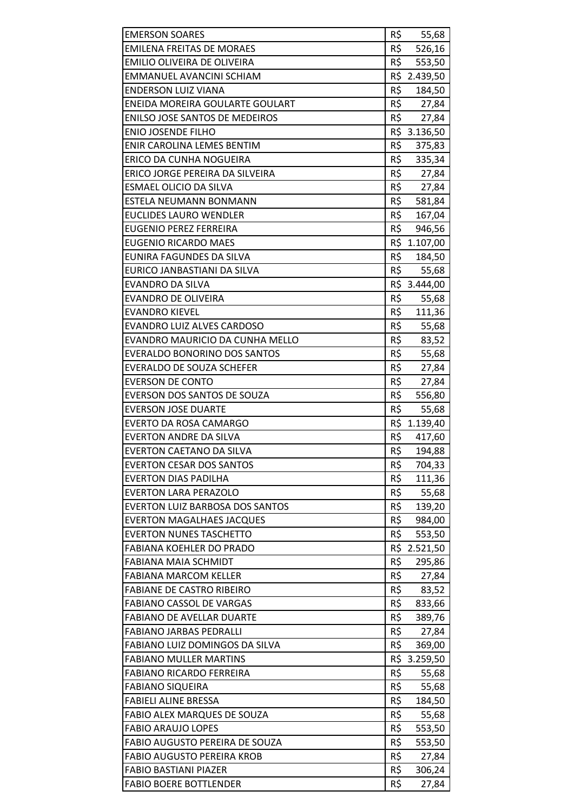| <b>EMERSON SOARES</b>                  | R\$            | 55,68                  |
|----------------------------------------|----------------|------------------------|
| <b>EMILENA FREITAS DE MORAES</b>       | R\$            | 526,16                 |
| EMILIO OLIVEIRA DE OLIVEIRA            | R\$            | 553,50                 |
| EMMANUEL AVANCINI SCHIAM               |                | R\$ 2.439,50           |
| <b>ENDERSON LUIZ VIANA</b>             | R\$            | 184,50                 |
| ENEIDA MOREIRA GOULARTE GOULART        | $R\frac{1}{2}$ | 27,84                  |
| <b>ENILSO JOSE SANTOS DE MEDEIROS</b>  | R\$            | 27,84                  |
| <b>ENIO JOSENDE FILHO</b>              | R\$            | 3.136,50               |
| ENIR CAROLINA LEMES BENTIM             | R\$            | 375,83                 |
| ERICO DA CUNHA NOGUEIRA                | R\$            | 335,34                 |
| ERICO JORGE PEREIRA DA SILVEIRA        | R\$            | 27,84                  |
| ESMAEL OLICIO DA SILVA                 | R\$            | 27,84                  |
| ESTELA NEUMANN BONMANN                 | R\$            | 581,84                 |
| EUCLIDES LAURO WENDLER                 | R\$            | 167,04                 |
| <b>EUGENIO PEREZ FERREIRA</b>          | R\$            | 946,56                 |
| <b>EUGENIO RICARDO MAES</b>            |                | R\$ 1.107,00           |
| EUNIRA FAGUNDES DA SILVA               | R\$            | 184,50                 |
| EURICO JANBASTIANI DA SILVA            | R\$            | 55,68                  |
| <b>EVANDRO DA SILVA</b>                |                | R\$ 3.444,00           |
| <b>EVANDRO DE OLIVEIRA</b>             | R\$            | 55,68                  |
| <b>EVANDRO KIEVEL</b>                  | R\$            | 111,36                 |
| <b>EVANDRO LUIZ ALVES CARDOSO</b>      | R\$            | 55,68                  |
| EVANDRO MAURICIO DA CUNHA MELLO        | R\$            | 83,52                  |
| <b>EVERALDO BONORINO DOS SANTOS</b>    | R\$            | 55,68                  |
| <b>EVERALDO DE SOUZA SCHEFER</b>       | R\$            | 27,84                  |
| <b>EVERSON DE CONTO</b>                | R\$            | 27,84                  |
| EVERSON DOS SANTOS DE SOUZA            | R\$            | 556,80                 |
| <b>EVERSON JOSE DUARTE</b>             | R\$            | 55,68                  |
| EVERTO DA ROSA CAMARGO                 |                | R\$ 1.139,40           |
| <b>EVERTON ANDRE DA SILVA</b>          | R\$            | 417,60                 |
| <b>EVERTON CAETANO DA SILVA</b>        | R\$            | 194,88                 |
| <b>EVERTON CESAR DOS SANTOS</b>        | R\$            | 704,33                 |
| <b>EVERTON DIAS PADILHA</b>            | R\$            | 111,36                 |
| <b>EVERTON LARA PERAZOLO</b>           | R\$            | 55,68                  |
| <b>EVERTON LUIZ BARBOSA DOS SANTOS</b> | R\$            | 139,20                 |
| <b>EVERTON MAGALHAES JACQUES</b>       | R\$            | 984,00                 |
| <b>EVERTON NUNES TASCHETTO</b>         | R\$            | 553,50                 |
| <b>FABIANA KOEHLER DO PRADO</b>        | R\$            | 2.521,50               |
| <b>FABIANA MAIA SCHMIDT</b>            | R\$            | 295,86                 |
| <b>FABIANA MARCOM KELLER</b>           | R\$            | 27,84                  |
| <b>FABIANE DE CASTRO RIBEIRO</b>       | R\$            | 83,52                  |
| <b>FABIANO CASSOL DE VARGAS</b>        | R\$            |                        |
| <b>FABIANO DE AVELLAR DUARTE</b>       | R\$            | 833,66<br>389,76       |
| <b>FABIANO JARBAS PEDRALLI</b>         | R\$            |                        |
| FABIANO LUIZ DOMINGOS DA SILVA         | R\$            | 27,84                  |
| <b>FABIANO MULLER MARTINS</b>          |                | 369,00<br>R\$ 3.259,50 |
| <b>FABIANO RICARDO FERREIRA</b>        | R\$            |                        |
|                                        |                | 55,68                  |
| <b>FABIANO SIQUEIRA</b>                | R\$            | 55,68                  |
| <b>FABIELI ALINE BRESSA</b>            | R\$            | 184,50                 |
| FABIO ALEX MARQUES DE SOUZA            | R\$            | 55,68                  |
| <b>FABIO ARAUJO LOPES</b>              | R\$            | 553,50                 |
| FABIO AUGUSTO PEREIRA DE SOUZA         | R\$            | 553,50                 |
| <b>FABIO AUGUSTO PEREIRA KROB</b>      | R\$            | 27,84                  |
| <b>FABIO BASTIANI PIAZER</b>           | R\$            | 306,24                 |
| <b>FABIO BOERE BOTTLENDER</b>          | R\$            | 27,84                  |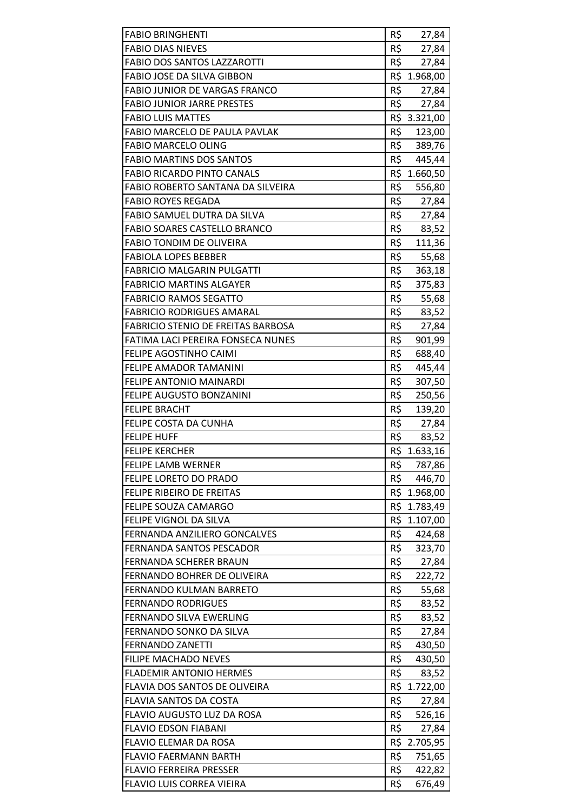| <b>FABIO BRINGHENTI</b>                   | R\$ | 27,84        |
|-------------------------------------------|-----|--------------|
| <b>FABIO DIAS NIEVES</b>                  | R\$ | 27,84        |
| <b>FABIO DOS SANTOS LAZZAROTTI</b>        | R\$ | 27,84        |
| FABIO JOSE DA SILVA GIBBON                |     | R\$ 1.968,00 |
| <b>FABIO JUNIOR DE VARGAS FRANCO</b>      | R\$ | 27,84        |
| <b>FABIO JUNIOR JARRE PRESTES</b>         | R\$ | 27,84        |
| <b>FABIO LUIS MATTES</b>                  |     | R\$ 3.321,00 |
| FABIO MARCELO DE PAULA PAVLAK             | R\$ | 123,00       |
| <b>FABIO MARCELO OLING</b>                | R\$ | 389,76       |
| <b>FABIO MARTINS DOS SANTOS</b>           | R\$ | 445,44       |
| <b>FABIO RICARDO PINTO CANALS</b>         |     | R\$ 1.660,50 |
| FABIO ROBERTO SANTANA DA SILVEIRA         | R\$ | 556,80       |
| <b>FABIO ROYES REGADA</b>                 | R\$ | 27,84        |
| FABIO SAMUEL DUTRA DA SILVA               | R\$ | 27,84        |
| <b>FABIO SOARES CASTELLO BRANCO</b>       | R\$ | 83,52        |
| <b>FABIO TONDIM DE OLIVEIRA</b>           | R\$ | 111,36       |
| <b>FABIOLA LOPES BEBBER</b>               | R\$ | 55,68        |
| <b>FABRICIO MALGARIN PULGATTI</b>         | R\$ | 363,18       |
| <b>FABRICIO MARTINS ALGAYER</b>           | R\$ | 375,83       |
| <b>FABRICIO RAMOS SEGATTO</b>             | R\$ | 55,68        |
| <b>FABRICIO RODRIGUES AMARAL</b>          | R\$ | 83,52        |
| <b>FABRICIO STENIO DE FREITAS BARBOSA</b> | R\$ | 27,84        |
| FATIMA LACI PEREIRA FONSECA NUNES         | R\$ | 901,99       |
| FELIPE AGOSTINHO CAIMI                    | R\$ | 688,40       |
| FELIPE AMADOR TAMANINI                    | R\$ | 445,44       |
| FELIPE ANTONIO MAINARDI                   | R\$ | 307,50       |
| FELIPE AUGUSTO BONZANINI                  | R\$ | 250,56       |
| <b>FELIPE BRACHT</b>                      | R\$ | 139,20       |
| FELIPE COSTA DA CUNHA                     |     | R\$ 27,84    |
| <b>FELIPE HUFF</b>                        | R\$ | 83,52        |
| <b>FELIPE KERCHER</b>                     | R\$ | 1.633,16     |
| <b>FELIPE LAMB WERNER</b>                 | R\$ | 787,86       |
| FELIPE LORETO DO PRADO                    | R\$ | 446,70       |
| FELIPE RIBEIRO DE FREITAS                 |     | R\$ 1.968,00 |
| FELIPE SOUZA CAMARGO                      |     | R\$ 1.783,49 |
| FELIPE VIGNOL DA SILVA                    |     | R\$ 1.107,00 |
| FERNANDA ANZILIERO GONCALVES              | R\$ | 424,68       |
| FERNANDA SANTOS PESCADOR                  | R\$ | 323,70       |
| FERNANDA SCHERER BRAUN                    | R\$ | 27,84        |
| FERNANDO BOHRER DE OLIVEIRA               | R\$ | 222,72       |
| <b>FERNANDO KULMAN BARRETO</b>            | R\$ | 55,68        |
| <b>FERNANDO RODRIGUES</b>                 | R\$ | 83,52        |
| FERNANDO SILVA EWERLING                   | R\$ | 83,52        |
| FERNANDO SONKO DA SILVA                   | R\$ | 27,84        |
| <b>FERNANDO ZANETTI</b>                   | R\$ | 430,50       |
| <b>FILIPE MACHADO NEVES</b>               | R\$ | 430,50       |
| <b>FLADEMIR ANTONIO HERMES</b>            | R\$ | 83,52        |
| FLAVIA DOS SANTOS DE OLIVEIRA             |     | R\$ 1.722,00 |
| FLAVIA SANTOS DA COSTA                    | R\$ | 27,84        |
| FLAVIO AUGUSTO LUZ DA ROSA                | R\$ | 526,16       |
| <b>FLAVIO EDSON FIABANI</b>               | R\$ | 27,84        |
| FLAVIO ELEMAR DA ROSA                     |     | R\$ 2.705,95 |
| <b>FLAVIO FAERMANN BARTH</b>              | R\$ | 751,65       |
| <b>FLAVIO FERREIRA PRESSER</b>            | R\$ | 422,82       |
| FLAVIO LUIS CORREA VIEIRA                 | R\$ | 676,49       |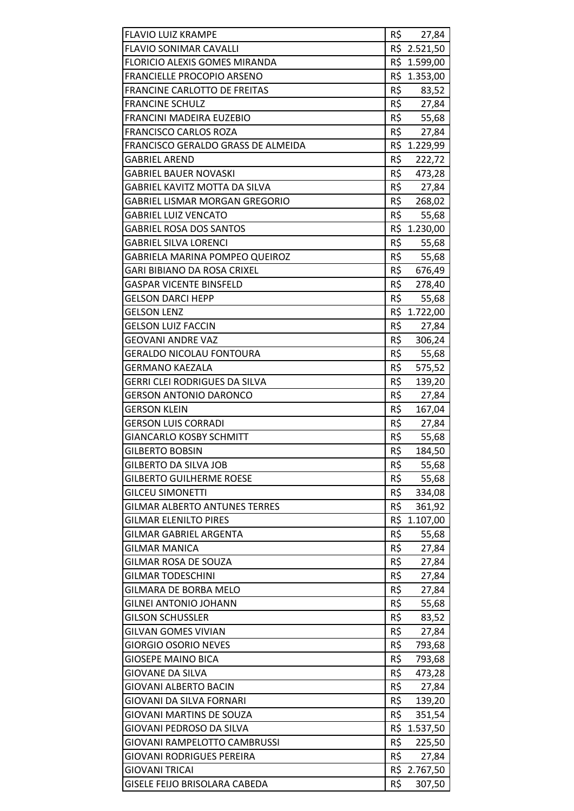| <b>FLAVIO LUIZ KRAMPE</b>             | R\$                   | 27,84        |
|---------------------------------------|-----------------------|--------------|
| <b>FLAVIO SONIMAR CAVALLI</b>         |                       | R\$ 2.521,50 |
| <b>FLORICIO ALEXIS GOMES MIRANDA</b>  |                       | R\$ 1.599,00 |
| FRANCIELLE PROCOPIO ARSENO            |                       | R\$ 1.353,00 |
| <b>FRANCINE CARLOTTO DE FREITAS</b>   | R\$                   | 83,52        |
| <b>FRANCINE SCHULZ</b>                | $R\frac{2}{\sqrt{2}}$ | 27,84        |
| FRANCINI MADEIRA EUZEBIO              | R\$                   | 55,68        |
| <b>FRANCISCO CARLOS ROZA</b>          | R\$                   | 27,84        |
| FRANCISCO GERALDO GRASS DE ALMEIDA    |                       | R\$ 1.229,99 |
| <b>GABRIEL AREND</b>                  | R\$                   | 222,72       |
| <b>GABRIEL BAUER NOVASKI</b>          | R\$                   | 473,28       |
| <b>GABRIEL KAVITZ MOTTA DA SILVA</b>  | R\$                   | 27,84        |
| <b>GABRIEL LISMAR MORGAN GREGORIO</b> | R\$                   | 268,02       |
| <b>GABRIEL LUIZ VENCATO</b>           | R\$                   | 55,68        |
| <b>GABRIEL ROSA DOS SANTOS</b>        |                       | R\$ 1.230,00 |
| <b>GABRIEL SILVA LORENCI</b>          | R\$                   | 55,68        |
| <b>GABRIELA MARINA POMPEO QUEIROZ</b> | R\$                   | 55,68        |
| GARI BIBIANO DA ROSA CRIXEL           | R\$                   | 676,49       |
| <b>GASPAR VICENTE BINSFELD</b>        | R\$                   | 278,40       |
| <b>GELSON DARCI HEPP</b>              | R\$                   | 55,68        |
| <b>GELSON LENZ</b>                    |                       | R\$ 1.722,00 |
| <b>GELSON LUIZ FACCIN</b>             | R\$                   | 27,84        |
| <b>GEOVANI ANDRE VAZ</b>              | R\$                   | 306,24       |
| <b>GERALDO NICOLAU FONTOURA</b>       | R\$                   | 55,68        |
| <b>GERMANO KAEZALA</b>                | R\$                   | 575,52       |
| <b>GERRI CLEI RODRIGUES DA SILVA</b>  | R\$                   | 139,20       |
| <b>GERSON ANTONIO DARONCO</b>         | R\$                   | 27,84        |
| <b>GERSON KLEIN</b>                   | R\$                   | 167,04       |
| <b>GERSON LUIS CORRADI</b>            | R\$                   | 27,84        |
| <b>GIANCARLO KOSBY SCHMITT</b>        | R\$                   | 55,68        |
| <b>GILBERTO BOBSIN</b>                | R\$                   | 184,50       |
| <b>GILBERTO DA SILVA JOB</b>          | R\$                   | 55,68        |
| <b>GILBERTO GUILHERME ROESE</b>       | R\$                   | 55,68        |
| <b>GILCEU SIMONETTI</b>               | R\$                   | 334,08       |
| <b>GILMAR ALBERTO ANTUNES TERRES</b>  | R\$                   | 361,92       |
| <b>GILMAR ELENILTO PIRES</b>          | R\$                   | 1.107,00     |
| <b>GILMAR GABRIEL ARGENTA</b>         | R\$                   | 55,68        |
| <b>GILMAR MANICA</b>                  | R\$                   | 27,84        |
| <b>GILMAR ROSA DE SOUZA</b>           | R\$                   | 27,84        |
| <b>GILMAR TODESCHINI</b>              | R\$                   | 27,84        |
| <b>GILMARA DE BORBA MELO</b>          | R\$                   |              |
| <b>GILNEI ANTONIO JOHANN</b>          | R\$                   | 27,84        |
| <b>GILSON SCHUSSLER</b>               | R\$                   | 55,68        |
|                                       |                       | 83,52        |
| <b>GILVAN GOMES VIVIAN</b>            | R\$                   | 27,84        |
| <b>GIORGIO OSORIO NEVES</b>           | R\$                   | 793,68       |
| <b>GIOSEPE MAINO BICA</b>             | R\$                   | 793,68       |
| <b>GIOVANE DA SILVA</b>               | R\$                   | 473,28       |
| <b>GIOVANI ALBERTO BACIN</b>          | R\$                   | 27,84        |
| <b>GIOVANI DA SILVA FORNARI</b>       | R\$                   | 139,20       |
| <b>GIOVANI MARTINS DE SOUZA</b>       | R\$                   | 351,54       |
| GIOVANI PEDROSO DA SILVA              |                       | R\$ 1.537,50 |
| <b>GIOVANI RAMPELOTTO CAMBRUSSI</b>   | R\$                   | 225,50       |
| <b>GIOVANI RODRIGUES PEREIRA</b>      | R\$                   | 27,84        |
| <b>GIOVANI TRICAI</b>                 |                       | R\$ 2.767,50 |
| GISELE FEIJO BRISOLARA CABEDA         | R\$                   | 307,50       |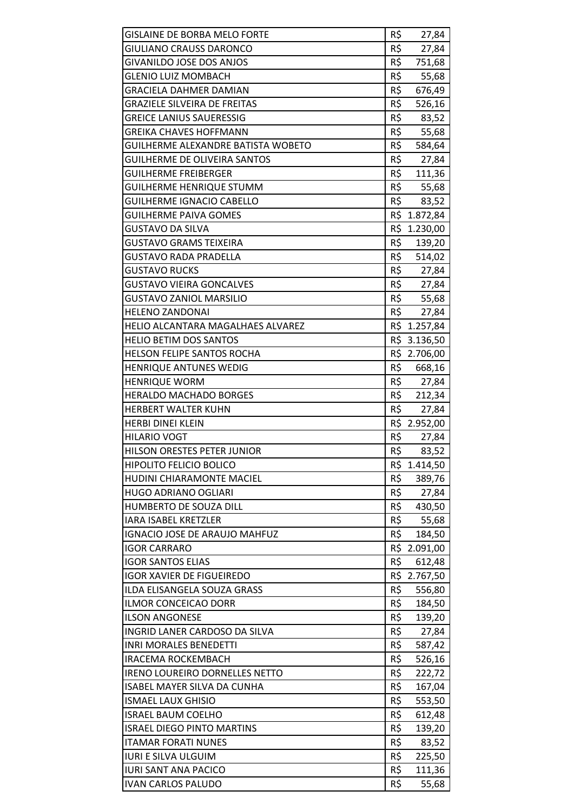| <b>GISLAINE DE BORBA MELO FORTE</b> | R\$ | 27,84        |
|-------------------------------------|-----|--------------|
| GIULIANO CRAUSS DARONCO             | R\$ | 27,84        |
| <b>GIVANILDO JOSE DOS ANJOS</b>     | R\$ | 751,68       |
| <b>GLENIO LUIZ MOMBACH</b>          | R\$ | 55,68        |
| GRACIELA DAHMER DAMIAN              | R\$ | 676,49       |
| <b>GRAZIELE SILVEIRA DE FREITAS</b> | R\$ | 526,16       |
| <b>GREICE LANIUS SAUERESSIG</b>     | R\$ | 83,52        |
| <b>GREIKA CHAVES HOFFMANN</b>       | R\$ | 55,68        |
| GUILHERME ALEXANDRE BATISTA WOBETO  | R\$ | 584,64       |
| <b>GUILHERME DE OLIVEIRA SANTOS</b> | R\$ | 27,84        |
| <b>GUILHERME FREIBERGER</b>         | R\$ | 111,36       |
| <b>GUILHERME HENRIQUE STUMM</b>     | R\$ | 55,68        |
| <b>GUILHERME IGNACIO CABELLO</b>    | R\$ | 83,52        |
| <b>GUILHERME PAIVA GOMES</b>        |     | R\$ 1.872,84 |
| GUSTAVO DA SILVA                    |     | R\$ 1.230,00 |
| <b>GUSTAVO GRAMS TEIXEIRA</b>       | R\$ | 139,20       |
| GUSTAVO RADA PRADELLA               | R\$ | 514,02       |
| <b>GUSTAVO RUCKS</b>                | R\$ | 27,84        |
| <b>GUSTAVO VIEIRA GONCALVES</b>     | R\$ | 27,84        |
| <b>GUSTAVO ZANIOL MARSILIO</b>      |     | R\$ 55,68    |
| <b>HELENO ZANDONAI</b>              | R\$ | 27,84        |
| HELIO ALCANTARA MAGALHAES ALVAREZ   |     | R\$ 1.257,84 |
| <b>HELIO BETIM DOS SANTOS</b>       |     | R\$ 3.136,50 |
| HELSON FELIPE SANTOS ROCHA          |     | R\$ 2.706,00 |
| <b>HENRIQUE ANTUNES WEDIG</b>       | R\$ | 668,16       |
| <b>HENRIQUE WORM</b>                | R\$ | 27,84        |
| <b>HERALDO MACHADO BORGES</b>       | R\$ | 212,34       |
| <b>HERBERT WALTER KUHN</b>          | R\$ | 27,84        |
| <b>HERBI DINEI KLEIN</b>            |     | R\$ 2.952,00 |
| <b>HILARIO VOGT</b>                 | R\$ | 27,84        |
| HILSON ORESTES PETER JUNIOR         | R\$ | 83,52        |
| <b>HIPOLITO FELICIO BOLICO</b>      |     | R\$ 1.414,50 |
| HUDINI CHIARAMONTE MACIEL           | R\$ | 389,76       |
| <b>HUGO ADRIANO OGLIARI</b>         | R\$ | 27,84        |
| HUMBERTO DE SOUZA DILL              | R\$ | 430,50       |
| <b>IARA ISABEL KRETZLER</b>         | R\$ | 55,68        |
| IGNACIO JOSE DE ARAUJO MAHFUZ       | R\$ | 184,50       |
| <b>IGOR CARRARO</b>                 |     | R\$ 2.091,00 |
| <b>IGOR SANTOS ELIAS</b>            | R\$ | 612,48       |
| <b>IGOR XAVIER DE FIGUEIREDO</b>    | R\$ | 2.767,50     |
| ILDA ELISANGELA SOUZA GRASS         | R\$ | 556,80       |
| ILMOR CONCEICAO DORR                | R\$ | 184,50       |
| <b>ILSON ANGONESE</b>               | R\$ | 139,20       |
| INGRID LANER CARDOSO DA SILVA       | R\$ | 27,84        |
| <b>INRI MORALES BENEDETTI</b>       | R\$ | 587,42       |
| <b>IRACEMA ROCKEMBACH</b>           | R\$ | 526,16       |
| IRENO LOUREIRO DORNELLES NETTO      | R\$ | 222,72       |
| ISABEL MAYER SILVA DA CUNHA         | R\$ | 167,04       |
| <b>ISMAEL LAUX GHISIO</b>           | R\$ | 553,50       |
| <b>ISRAEL BAUM COELHO</b>           | R\$ | 612,48       |
| <b>ISRAEL DIEGO PINTO MARTINS</b>   | R\$ | 139,20       |
| <b>ITAMAR FORATI NUNES</b>          | R\$ | 83,52        |
| <b>IURI E SILVA ULGUIM</b>          | R\$ | 225,50       |
| <b>IURI SANT ANA PACICO</b>         | R\$ | 111,36       |
| <b>IVAN CARLOS PALUDO</b>           | R\$ | 55,68        |
|                                     |     |              |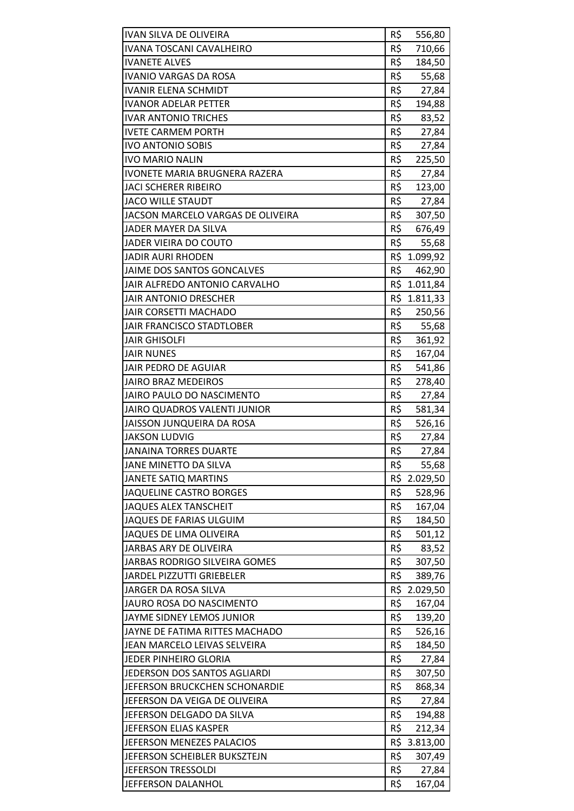| <b>IVAN SILVA DE OLIVEIRA</b>     | R\$ | 556,80       |
|-----------------------------------|-----|--------------|
| <b>IVANA TOSCANI CAVALHEIRO</b>   | R\$ | 710,66       |
| <b>IVANETE ALVES</b>              | R\$ | 184,50       |
| IVANIO VARGAS DA ROSA             | R\$ | 55,68        |
| <b>IVANIR ELENA SCHMIDT</b>       | R\$ | 27,84        |
| <b>IVANOR ADELAR PETTER</b>       | R\$ | 194,88       |
| <b>IVAR ANTONIO TRICHES</b>       | R\$ | 83,52        |
| <b>IVETE CARMEM PORTH</b>         | R\$ | 27,84        |
| <b>IVO ANTONIO SOBIS</b>          | R\$ | 27,84        |
| <b>IVO MARIO NALIN</b>            | R\$ | 225,50       |
| IVONETE MARIA BRUGNERA RAZERA     | R\$ | 27,84        |
| JACI SCHERER RIBEIRO              | R\$ | 123,00       |
| <b>JACO WILLE STAUDT</b>          | R\$ | 27,84        |
| JACSON MARCELO VARGAS DE OLIVEIRA | R\$ | 307,50       |
| JADER MAYER DA SILVA              | R\$ | 676,49       |
| JADER VIEIRA DO COUTO             | R\$ | 55,68        |
| JADIR AURI RHODEN                 |     | R\$ 1.099,92 |
| JAIME DOS SANTOS GONCALVES        | R\$ | 462,90       |
| JAIR ALFREDO ANTONIO CARVALHO     |     | R\$ 1.011,84 |
| <b>JAIR ANTONIO DRESCHER</b>      |     | R\$ 1.811,33 |
| <b>JAIR CORSETTI MACHADO</b>      | R\$ | 250,56       |
| JAIR FRANCISCO STADTLOBER         | R\$ | 55,68        |
| <b>JAIR GHISOLFI</b>              | R\$ | 361,92       |
| <b>JAIR NUNES</b>                 | R\$ | 167,04       |
| JAIR PEDRO DE AGUIAR              | R\$ | 541,86       |
| <b>JAIRO BRAZ MEDEIROS</b>        | R\$ | 278,40       |
| <b>JAIRO PAULO DO NASCIMENTO</b>  | R\$ | 27,84        |
| JAIRO QUADROS VALENTI JUNIOR      | R\$ | 581,34       |
| JAISSON JUNQUEIRA DA ROSA         | R\$ | 526,16       |
| <b>JAKSON LUDVIG</b>              | R\$ | 27,84        |
| <b>JANAINA TORRES DUARTE</b>      | R\$ | 27,84        |
| JANE MINETTO DA SILVA             | R\$ | 55,68        |
| <b>JANETE SATIQ MARTINS</b>       |     | R\$ 2.029,50 |
| <b>JAQUELINE CASTRO BORGES</b>    | R\$ | 528,96       |
| <b>JAQUES ALEX TANSCHEIT</b>      | R\$ | 167,04       |
| JAQUES DE FARIAS ULGUIM           | R\$ | 184,50       |
| JAQUES DE LIMA OLIVEIRA           | R\$ | 501,12       |
| JARBAS ARY DE OLIVEIRA            | R\$ | 83,52        |
| JARBAS RODRIGO SILVEIRA GOMES     | R\$ | 307,50       |
| <b>JARDEL PIZZUTTI GRIEBELER</b>  | R\$ | 389,76       |
| JARGER DA ROSA SILVA              |     | R\$ 2.029,50 |
| JAURO ROSA DO NASCIMENTO          | R\$ | 167,04       |
| JAYME SIDNEY LEMOS JUNIOR         | R\$ | 139,20       |
| JAYNE DE FATIMA RITTES MACHADO    | R\$ | 526,16       |
| JEAN MARCELO LEIVAS SELVEIRA      | R\$ | 184,50       |
| JEDER PINHEIRO GLORIA             | R\$ | 27,84        |
| JEDERSON DOS SANTOS AGLIARDI      | R\$ | 307,50       |
| JEFERSON BRUCKCHEN SCHONARDIE     | R\$ | 868,34       |
| JEFERSON DA VEIGA DE OLIVEIRA     | R\$ | 27,84        |
| JEFERSON DELGADO DA SILVA         | R\$ | 194,88       |
| JEFERSON ELIAS KASPER             | R\$ | 212,34       |
| JEFERSON MENEZES PALACIOS         |     | R\$ 3.813,00 |
| JEFERSON SCHEIBLER BUKSZTEJN      | R\$ | 307,49       |
| JEFERSON TRESSOLDI                | R\$ | 27,84        |
| JEFFERSON DALANHOL                | R\$ | 167,04       |
|                                   |     |              |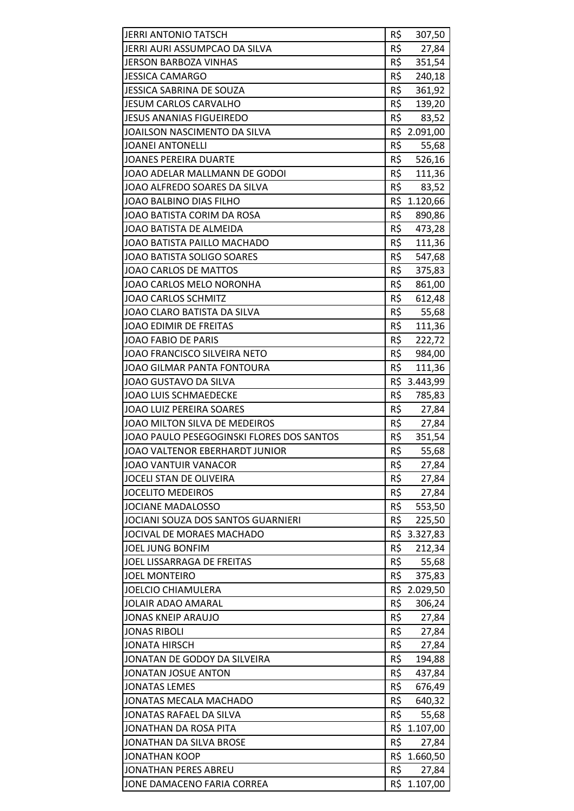| <b>JERRI ANTONIO TATSCH</b>               | R\$<br>307,50   |
|-------------------------------------------|-----------------|
| JERRI AURI ASSUMPCAO DA SILVA             | R\$<br>27,84    |
| <b>JERSON BARBOZA VINHAS</b>              | R\$<br>351,54   |
| <b>JESSICA CAMARGO</b>                    | R\$<br>240,18   |
| JESSICA SABRINA DE SOUZA                  | R\$<br>361,92   |
| <b>JESUM CARLOS CARVALHO</b>              | R\$<br>139,20   |
| <b>JESUS ANANIAS FIGUEIREDO</b>           | R\$<br>83,52    |
| JOAILSON NASCIMENTO DA SILVA              | R\$<br>2.091,00 |
| <b>JOANEI ANTONELLI</b>                   | R\$<br>55,68    |
| <b>JOANES PEREIRA DUARTE</b>              | R\$<br>526,16   |
| JOAO ADELAR MALLMANN DE GODOI             | R\$<br>111,36   |
| JOAO ALFREDO SOARES DA SILVA              | R\$<br>83,52    |
| JOAO BALBINO DIAS FILHO                   | R\$<br>1.120,66 |
| JOAO BATISTA CORIM DA ROSA                | R\$<br>890,86   |
| JOAO BATISTA DE ALMEIDA                   | R\$<br>473,28   |
| JOAO BATISTA PAILLO MACHADO               | R\$<br>111,36   |
| JOAO BATISTA SOLIGO SOARES                | R\$<br>547,68   |
| JOAO CARLOS DE MATTOS                     | R\$<br>375,83   |
| JOAO CARLOS MELO NORONHA                  | R\$<br>861,00   |
| <b>JOAO CARLOS SCHMITZ</b>                | R\$<br>612,48   |
| JOAO CLARO BATISTA DA SILVA               | R\$<br>55,68    |
| JOAO EDIMIR DE FREITAS                    | R\$<br>111,36   |
| JOAO FABIO DE PARIS                       | R\$<br>222,72   |
| JOAO FRANCISCO SILVEIRA NETO              | R\$<br>984,00   |
| JOAO GILMAR PANTA FONTOURA                | R\$<br>111,36   |
| JOAO GUSTAVO DA SILVA                     | R\$ 3.443,99    |
| <b>JOAO LUIS SCHMAEDECKE</b>              | R\$<br>785,83   |
| <b>JOAO LUIZ PEREIRA SOARES</b>           | R\$<br>27,84    |
| JOAO MILTON SILVA DE MEDEIROS             | R\$<br>27,84    |
| JOAO PAULO PESEGOGINSKI FLORES DOS SANTOS | R\$<br>351,54   |
| JOAO VALTENOR EBERHARDT JUNIOR            | R\$<br>55,68    |
| <b>JOAO VANTUIR VANACOR</b>               | R\$<br>27,84    |
| JOCELI STAN DE OLIVEIRA                   | R\$<br>27,84    |
| <b>JOCELITO MEDEIROS</b>                  | R\$<br>27,84    |
| <b>JOCIANE MADALOSSO</b>                  | R\$<br>553,50   |
| JOCIANI SOUZA DOS SANTOS GUARNIERI        | R\$<br>225,50   |
| JOCIVAL DE MORAES MACHADO                 | R\$ 3.327,83    |
| <b>JOEL JUNG BONFIM</b>                   | R\$<br>212,34   |
| <b>JOEL LISSARRAGA DE FREITAS</b>         | R\$<br>55,68    |
| <b>JOEL MONTEIRO</b>                      | R\$<br>375,83   |
| <b>JOELCIO CHIAMULERA</b>                 | R\$ 2.029,50    |
| JOLAIR ADAO AMARAL                        | R\$<br>306,24   |
| <b>JONAS KNEIP ARAUJO</b>                 | R\$<br>27,84    |
| <b>JONAS RIBOLI</b>                       | R\$<br>27,84    |
| <b>JONATA HIRSCH</b>                      | R\$<br>27,84    |
| JONATAN DE GODOY DA SILVEIRA              | R\$<br>194,88   |
| JONATAN JOSUE ANTON                       | R\$<br>437,84   |
| <b>JONATAS LEMES</b>                      | R\$<br>676,49   |
| JONATAS MECALA MACHADO                    | R\$<br>640,32   |
| JONATAS RAFAEL DA SILVA                   | R\$<br>55,68    |
| JONATHAN DA ROSA PITA                     | R\$ 1.107,00    |
| JONATHAN DA SILVA BROSE                   | R\$<br>27,84    |
| <b>JONATHAN KOOP</b>                      | R\$ 1.660,50    |
| <b>JONATHAN PERES ABREU</b>               | R\$<br>27,84    |
| JONE DAMACENO FARIA CORREA                | R\$ 1.107,00    |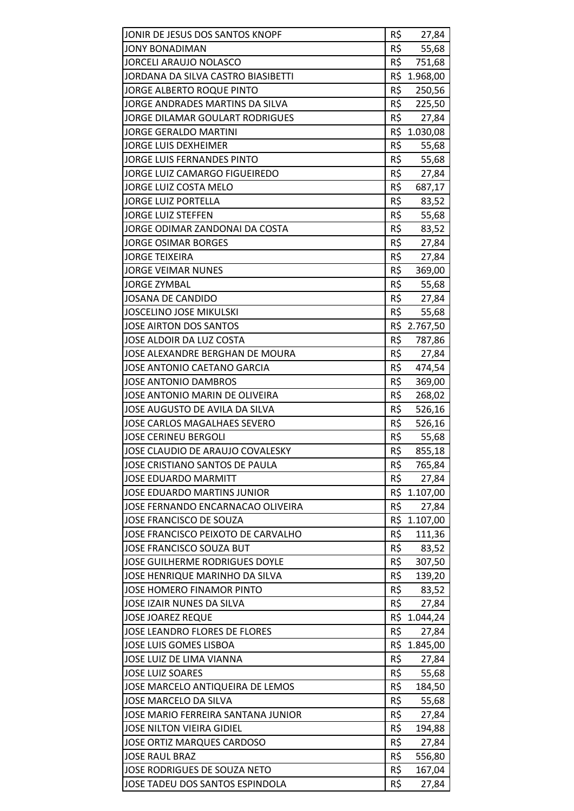| JONIR DE JESUS DOS SANTOS KNOPF        | R\$ | 27,84        |
|----------------------------------------|-----|--------------|
| <b>JONY BONADIMAN</b>                  | R\$ | 55,68        |
| <b>JORCELI ARAUJO NOLASCO</b>          | R\$ | 751,68       |
| JORDANA DA SILVA CASTRO BIASIBETTI     |     | R\$ 1.968,00 |
| JORGE ALBERTO ROQUE PINTO              | R\$ | 250,56       |
| JORGE ANDRADES MARTINS DA SILVA        | R\$ | 225,50       |
| <b>JORGE DILAMAR GOULART RODRIGUES</b> | R\$ | 27,84        |
| <b>JORGE GERALDO MARTINI</b>           |     | R\$ 1.030,08 |
| <b>JORGE LUIS DEXHEIMER</b>            | R\$ | 55,68        |
| JORGE LUIS FERNANDES PINTO             | R\$ | 55,68        |
| JORGE LUIZ CAMARGO FIGUEIREDO          | R\$ | 27,84        |
| JORGE LUIZ COSTA MELO                  | R\$ | 687,17       |
| <b>JORGE LUIZ PORTELLA</b>             | R\$ | 83,52        |
| JORGE LUIZ STEFFEN                     | R\$ | 55,68        |
| JORGE ODIMAR ZANDONAI DA COSTA         | R\$ | 83,52        |
| <b>JORGE OSIMAR BORGES</b>             | R\$ | 27,84        |
| <b>JORGE TEIXEIRA</b>                  | R\$ | 27,84        |
| <b>JORGE VEIMAR NUNES</b>              | R\$ | 369,00       |
| <b>JORGE ZYMBAL</b>                    | R\$ | 55,68        |
| <b>JOSANA DE CANDIDO</b>               | R\$ | 27,84        |
| <b>JOSCELINO JOSE MIKULSKI</b>         | R\$ | 55,68        |
| JOSE AIRTON DOS SANTOS                 |     | R\$ 2.767,50 |
| JOSE ALDOIR DA LUZ COSTA               | R\$ | 787,86       |
| JOSE ALEXANDRE BERGHAN DE MOURA        | R\$ | 27,84        |
| JOSE ANTONIO CAETANO GARCIA            | R\$ | 474,54       |
| <b>JOSE ANTONIO DAMBROS</b>            | R\$ | 369,00       |
| JOSE ANTONIO MARIN DE OLIVEIRA         | R\$ | 268,02       |
| JOSE AUGUSTO DE AVILA DA SILVA         | R\$ | 526,16       |
| <b>JOSE CARLOS MAGALHAES SEVERO</b>    | R\$ | 526,16       |
| <b>JOSE CERINEU BERGOLI</b>            | R\$ | 55,68        |
| JOSE CLAUDIO DE ARAUJO COVALESKY       | R\$ | 855,18       |
| JOSE CRISTIANO SANTOS DE PAULA         | R\$ | 765,84       |
| <b>JOSE EDUARDO MARMITT</b>            | R\$ | 27,84        |
| <b>JOSE EDUARDO MARTINS JUNIOR</b>     |     | R\$ 1.107,00 |
| JOSE FERNANDO ENCARNACAO OLIVEIRA      | R\$ | 27,84        |
| JOSE FRANCISCO DE SOUZA                |     | R\$ 1.107,00 |
| JOSE FRANCISCO PEIXOTO DE CARVALHO     | R\$ | 111,36       |
| <b>JOSE FRANCISCO SOUZA BUT</b>        | R\$ | 83,52        |
| <b>JOSE GUILHERME RODRIGUES DOYLE</b>  | R\$ | 307,50       |
| JOSE HENRIQUE MARINHO DA SILVA         | R\$ | 139,20       |
| JOSE HOMERO FINAMOR PINTO              | R\$ | 83,52        |
| JOSE IZAIR NUNES DA SILVA              | R\$ | 27,84        |
| <b>JOSE JOAREZ REQUE</b>               | R\$ | 1.044,24     |
| <b>JOSE LEANDRO FLORES DE FLORES</b>   | R\$ | 27,84        |
| <b>JOSE LUIS GOMES LISBOA</b>          | R\$ | 1.845,00     |
| JOSE LUIZ DE LIMA VIANNA               | R\$ | 27,84        |
| <b>JOSE LUIZ SOARES</b>                | R\$ | 55,68        |
| JOSE MARCELO ANTIQUEIRA DE LEMOS       | R\$ | 184,50       |
| JOSE MARCELO DA SILVA                  | R\$ | 55,68        |
| JOSE MARIO FERREIRA SANTANA JUNIOR     | R\$ | 27,84        |
| JOSE NILTON VIEIRA GIDIEL              | R\$ | 194,88       |
| JOSE ORTIZ MARQUES CARDOSO             | R\$ | 27,84        |
| <b>JOSE RAUL BRAZ</b>                  | R\$ | 556,80       |
| JOSE RODRIGUES DE SOUZA NETO           | R\$ | 167,04       |
| JOSE TADEU DOS SANTOS ESPINDOLA        | R\$ | 27,84        |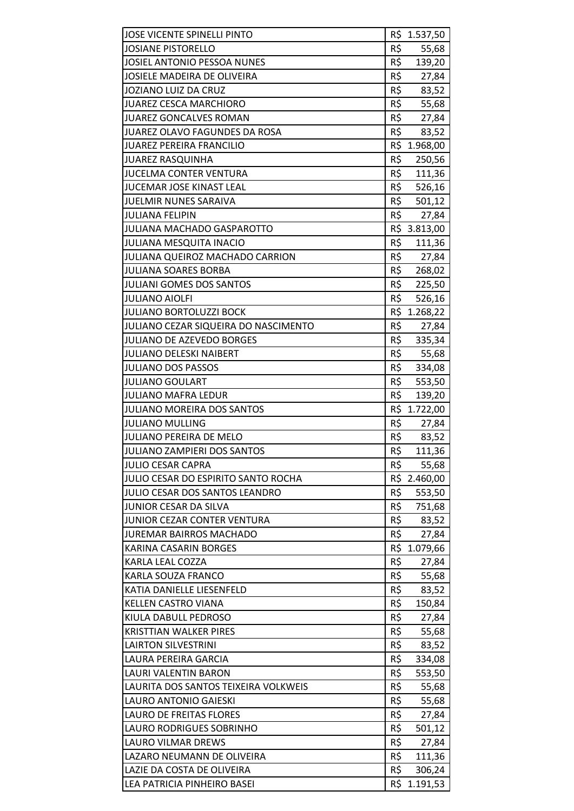| JOSE VICENTE SPINELLI PINTO          |     | R\$ 1.537,50 |
|--------------------------------------|-----|--------------|
| <b>JOSIANE PISTORELLO</b>            | R\$ | 55,68        |
| JOSIEL ANTONIO PESSOA NUNES          | R\$ | 139,20       |
| JOSIELE MADEIRA DE OLIVEIRA          | R\$ | 27,84        |
| <b>JOZIANO LUIZ DA CRUZ</b>          | R\$ | 83,52        |
| <b>JUAREZ CESCA MARCHIORO</b>        | R\$ | 55,68        |
| <b>JUAREZ GONCALVES ROMAN</b>        | R\$ | 27,84        |
| JUAREZ OLAVO FAGUNDES DA ROSA        | R\$ | 83,52        |
| JUAREZ PEREIRA FRANCILIO             |     | R\$ 1.968,00 |
| <b>JUAREZ RASQUINHA</b>              | R\$ | 250,56       |
| <b>JUCELMA CONTER VENTURA</b>        | R\$ | 111,36       |
| JUCEMAR JOSE KINAST LEAL             | R\$ | 526,16       |
| JUELMIR NUNES SARAIVA                | R\$ | 501,12       |
| <b>JULIANA FELIPIN</b>               | R\$ | 27,84        |
| JULIANA MACHADO GASPAROTTO           |     | R\$ 3.813,00 |
| <b>JULIANA MESQUITA INACIO</b>       | R\$ | 111,36       |
| JULIANA QUEIROZ MACHADO CARRION      | R\$ | 27,84        |
| <b>JULIANA SOARES BORBA</b>          | R\$ | 268,02       |
| <b>JULIANI GOMES DOS SANTOS</b>      | R\$ | 225,50       |
| <b>JULIANO AIOLFI</b>                | R\$ | 526,16       |
| <b>JULIANO BORTOLUZZI BOCK</b>       |     | R\$ 1.268,22 |
| JULIANO CEZAR SIQUEIRA DO NASCIMENTO | R\$ | 27,84        |
| JULIANO DE AZEVEDO BORGES            | R\$ | 335,34       |
| <b>JULIANO DELESKI NAIBERT</b>       | R\$ | 55,68        |
| <b>JULIANO DOS PASSOS</b>            | R\$ | 334,08       |
| <b>JULIANO GOULART</b>               | R\$ | 553,50       |
| <b>JULIANO MAFRA LEDUR</b>           | R\$ | 139,20       |
| <b>JULIANO MOREIRA DOS SANTOS</b>    |     | R\$ 1.722,00 |
| <b>JULIANO MULLING</b>               | R\$ | 27,84        |
| JULIANO PEREIRA DE MELO              | R\$ | 83,52        |
| JULIANO ZAMPIERI DOS SANTOS          | R\$ | 111,36       |
| <b>JULIO CESAR CAPRA</b>             | R\$ | 55,68        |
| JULIO CESAR DO ESPIRITO SANTO ROCHA  |     | R\$ 2.460,00 |
| JULIO CESAR DOS SANTOS LEANDRO       | R\$ | 553,50       |
| JUNIOR CESAR DA SILVA                | R\$ | 751,68       |
| <b>JUNIOR CEZAR CONTER VENTURA</b>   | R\$ | 83,52        |
| <b>JUREMAR BAIRROS MACHADO</b>       | R\$ | 27,84        |
| KARINA CASARIN BORGES                |     | R\$ 1.079,66 |
| KARLA LEAL COZZA                     | R\$ | 27,84        |
| KARLA SOUZA FRANCO                   | R\$ | 55,68        |
| KATIA DANIELLE LIESENFELD            | R\$ | 83,52        |
| <b>KELLEN CASTRO VIANA</b>           | R\$ | 150,84       |
| KIULA DABULL PEDROSO                 | R\$ | 27,84        |
| <b>KRISTTIAN WALKER PIRES</b>        | R\$ | 55,68        |
| <b>LAIRTON SILVESTRINI</b>           | R\$ | 83,52        |
| LAURA PEREIRA GARCIA                 | R\$ | 334,08       |
| <b>LAURI VALENTIN BARON</b>          | R\$ | 553,50       |
| LAURITA DOS SANTOS TEIXEIRA VOLKWEIS | R\$ | 55,68        |
| LAURO ANTONIO GAIESKI                | R\$ | 55,68        |
| <b>LAURO DE FREITAS FLORES</b>       | R\$ | 27,84        |
| LAURO RODRIGUES SOBRINHO             | R\$ | 501,12       |
| <b>LAURO VILMAR DREWS</b>            | R\$ | 27,84        |
| LAZARO NEUMANN DE OLIVEIRA           | R\$ | 111,36       |
| LAZIE DA COSTA DE OLIVEIRA           | R\$ | 306,24       |
| LEA PATRICIA PINHEIRO BASEI          |     | R\$ 1.191,53 |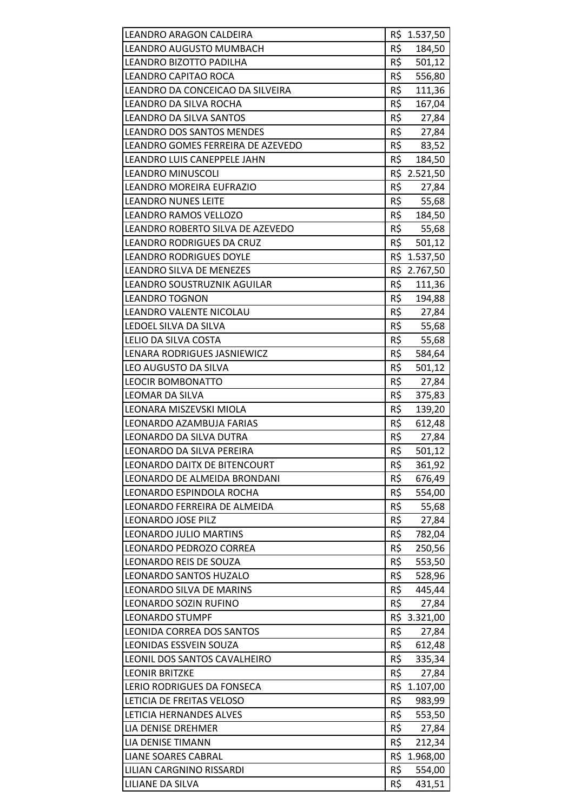| LEANDRO ARAGON CALDEIRA           |     | R\$ 1.537,50 |
|-----------------------------------|-----|--------------|
| LEANDRO AUGUSTO MUMBACH           | R\$ | 184,50       |
| LEANDRO BIZOTTO PADILHA           | R\$ | 501,12       |
| LEANDRO CAPITAO ROCA              | R\$ | 556,80       |
| LEANDRO DA CONCEICAO DA SILVEIRA  | R\$ | 111,36       |
| LEANDRO DA SILVA ROCHA            | R\$ | 167,04       |
| <b>LEANDRO DA SILVA SANTOS</b>    | R\$ | 27,84        |
| <b>LEANDRO DOS SANTOS MENDES</b>  | R\$ | 27,84        |
| LEANDRO GOMES FERREIRA DE AZEVEDO |     | R\$ 83,52    |
| LEANDRO LUIS CANEPPELE JAHN       |     | R\$ 184,50   |
| <b>LEANDRO MINUSCOLI</b>          |     | R\$ 2.521,50 |
| LEANDRO MOREIRA EUFRAZIO          | R\$ | 27,84        |
| <b>LEANDRO NUNES LEITE</b>        | R\$ | 55,68        |
| LEANDRO RAMOS VELLOZO             |     | R\$ 184,50   |
| LEANDRO ROBERTO SILVA DE AZEVEDO  |     | R\$ 55,68    |
| LEANDRO RODRIGUES DA CRUZ         | R\$ | 501,12       |
| <b>LEANDRO RODRIGUES DOYLE</b>    |     | R\$ 1.537,50 |
| LEANDRO SILVA DE MENEZES          |     | R\$ 2.767,50 |
| LEANDRO SOUSTRUZNIK AGUILAR       |     | R\$ 111,36   |
| <b>LEANDRO TOGNON</b>             |     | R\$ 194,88   |
| LEANDRO VALENTE NICOLAU           | R5  | 27,84        |
| LEDOEL SILVA DA SILVA             | R\$ | 55,68        |
| LELIO DA SILVA COSTA              | R\$ | 55,68        |
| LENARA RODRIGUES JASNIEWICZ       | R\$ | 584,64       |
| LEO AUGUSTO DA SILVA              | R\$ | 501,12       |
| <b>LEOCIR BOMBONATTO</b>          | R\$ | 27,84        |
| LEOMAR DA SILVA                   | R\$ | 375,83       |
| LEONARA MISZEVSKI MIOLA           | R\$ | 139,20       |
| LEONARDO AZAMBUJA FARIAS          | R\$ | 612,48       |
| LEONARDO DA SILVA DUTRA           | R\$ | 27,84        |
| LEONARDO DA SILVA PEREIRA         | R\$ | 501,12       |
| LEONARDO DAITX DE BITENCOURT      | R\$ | 361,92       |
| LEONARDO DE ALMEIDA BRONDANI      | R\$ | 676,49       |
| LEONARDO ESPINDOLA ROCHA          | R\$ | 554,00       |
| LEONARDO FERREIRA DE ALMEIDA      | R\$ | 55,68        |
| <b>LEONARDO JOSE PILZ</b>         | R\$ | 27,84        |
| <b>LEONARDO JULIO MARTINS</b>     | R\$ | 782,04       |
| LEONARDO PEDROZO CORREA           | R\$ | 250,56       |
| <b>LEONARDO REIS DE SOUZA</b>     | R\$ | 553,50       |
| <b>LEONARDO SANTOS HUZALO</b>     | R\$ | 528,96       |
| LEONARDO SILVA DE MARINS          | R\$ | 445,44       |
| LEONARDO SOZIN RUFINO             | R\$ | 27,84        |
| <b>LEONARDO STUMPF</b>            |     | R\$ 3.321,00 |
| LEONIDA CORREA DOS SANTOS         | R\$ | 27,84        |
| <b>LEONIDAS ESSVEIN SOUZA</b>     | R\$ | 612,48       |
| LEONIL DOS SANTOS CAVALHEIRO      | R\$ | 335,34       |
| <b>LEONIR BRITZKE</b>             | R\$ | 27,84        |
| LERIO RODRIGUES DA FONSECA        | R\$ | 1.107,00     |
| LETICIA DE FREITAS VELOSO         | R\$ | 983,99       |
| LETICIA HERNANDES ALVES           | R\$ | 553,50       |
| LIA DENISE DREHMER                | R\$ | 27,84        |
| LIA DENISE TIMANN                 | R\$ | 212,34       |
| <b>LIANE SOARES CABRAL</b>        | R\$ | 1.968,00     |
| LILIAN CARGNINO RISSARDI          | R\$ | 554,00       |
| LILIANE DA SILVA                  | R\$ | 431,51       |
|                                   |     |              |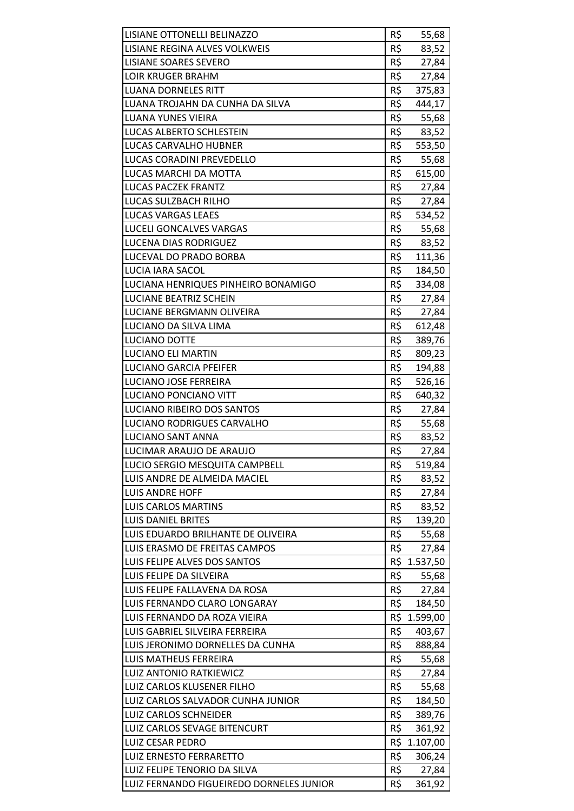| LISIANE OTTONELLI BELINAZZO              | R\$ | 55,68        |
|------------------------------------------|-----|--------------|
| LISIANE REGINA ALVES VOLKWEIS            | R\$ | 83,52        |
| LISIANE SOARES SEVERO                    | R\$ | 27,84        |
| <b>LOIR KRUGER BRAHM</b>                 | R\$ | 27,84        |
| <b>LUANA DORNELES RITT</b>               | R\$ | 375,83       |
| LUANA TROJAHN DA CUNHA DA SILVA          | R\$ | 444,17       |
| <b>LUANA YUNES VIEIRA</b>                | R\$ | 55,68        |
| <b>LUCAS ALBERTO SCHLESTEIN</b>          | R\$ | 83,52        |
| LUCAS CARVALHO HUBNER                    | R\$ | 553,50       |
| LUCAS CORADINI PREVEDELLO                | R\$ | 55,68        |
| LUCAS MARCHI DA MOTTA                    | R\$ | 615,00       |
| <b>LUCAS PACZEK FRANTZ</b>               | R\$ | 27,84        |
| LUCAS SULZBACH RILHO                     | R\$ | 27,84        |
| LUCAS VARGAS LEAES                       | R\$ | 534,52       |
| <b>LUCELI GONCALVES VARGAS</b>           | R\$ | 55,68        |
| LUCENA DIAS RODRIGUEZ                    | R\$ | 83,52        |
| LUCEVAL DO PRADO BORBA                   | R\$ | 111,36       |
| <b>LUCIA IARA SACOL</b>                  | R\$ | 184,50       |
| LUCIANA HENRIQUES PINHEIRO BONAMIGO      | R\$ | 334,08       |
| LUCIANE BEATRIZ SCHEIN                   | R\$ | 27,84        |
| LUCIANE BERGMANN OLIVEIRA                | R\$ | 27,84        |
| LUCIANO DA SILVA LIMA                    | R\$ | 612,48       |
| <b>LUCIANO DOTTE</b>                     | R\$ | 389,76       |
| <b>LUCIANO ELI MARTIN</b>                | R\$ | 809,23       |
| <b>LUCIANO GARCIA PFEIFER</b>            | R\$ | 194,88       |
| LUCIANO JOSE FERREIRA                    | R\$ | 526,16       |
| LUCIANO PONCIANO VITT                    | R\$ | 640,32       |
| LUCIANO RIBEIRO DOS SANTOS               | R\$ | 27,84        |
| LUCIANO RODRIGUES CARVALHO               | R\$ | 55,68        |
| LUCIANO SANT ANNA                        | R\$ | 83,52        |
| LUCIMAR ARAUJO DE ARAUJO                 | R\$ | 27,84        |
| LUCIO SERGIO MESQUITA CAMPBELL           | R\$ | 519,84       |
| LUIS ANDRE DE ALMEIDA MACIEL             | R\$ | 83,52        |
| <b>LUIS ANDRE HOFF</b>                   | R\$ | 27,84        |
| <b>LUIS CARLOS MARTINS</b>               | R\$ | 83,52        |
| <b>LUIS DANIEL BRITES</b>                | R\$ | 139,20       |
| LUIS EDUARDO BRILHANTE DE OLIVEIRA       | R\$ | 55,68        |
| LUIS ERASMO DE FREITAS CAMPOS            | R\$ | 27,84        |
| LUIS FELIPE ALVES DOS SANTOS             |     | R\$ 1.537,50 |
| LUIS FELIPE DA SILVEIRA                  | R\$ | 55,68        |
| LUIS FELIPE FALLAVENA DA ROSA            | R\$ | 27,84        |
| LUIS FERNANDO CLARO LONGARAY             | R\$ | 184,50       |
| LUIS FERNANDO DA ROZA VIEIRA             | R\$ | 1.599,00     |
| LUIS GABRIEL SILVEIRA FERREIRA           | R\$ | 403,67       |
| LUIS JERONIMO DORNELLES DA CUNHA         | R\$ | 888,84       |
| <b>LUIS MATHEUS FERREIRA</b>             | R\$ | 55,68        |
| LUIZ ANTONIO RATKIEWICZ                  | R\$ | 27,84        |
| LUIZ CARLOS KLUSENER FILHO               | R\$ | 55,68        |
| LUIZ CARLOS SALVADOR CUNHA JUNIOR        | R\$ | 184,50       |
| <b>LUIZ CARLOS SCHNEIDER</b>             | R\$ | 389,76       |
| LUIZ CARLOS SEVAGE BITENCURT             | R\$ | 361,92       |
| <b>LUIZ CESAR PEDRO</b>                  | R\$ | 1.107,00     |
| LUIZ ERNESTO FERRARETTO                  | R\$ | 306,24       |
| LUIZ FELIPE TENORIO DA SILVA             | R\$ | 27,84        |
| LUIZ FERNANDO FIGUEIREDO DORNELES JUNIOR | R\$ | 361,92       |
|                                          |     |              |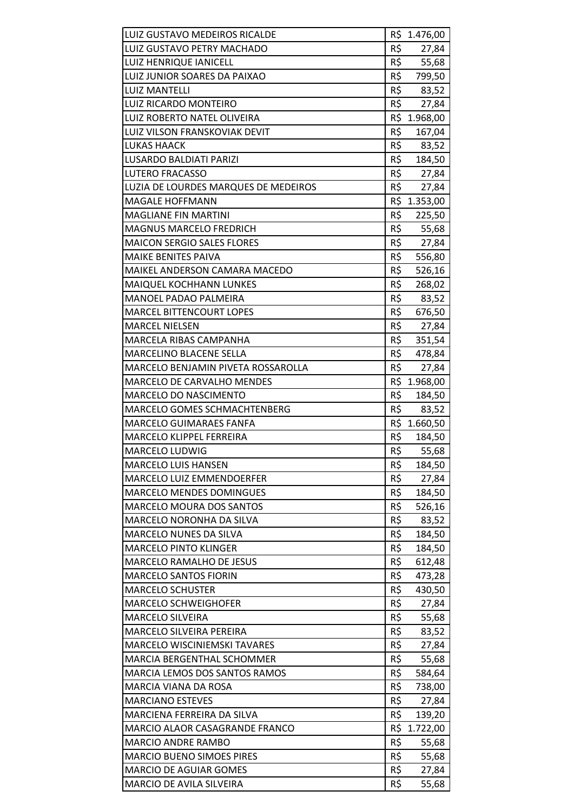| LUIZ GUSTAVO MEDEIROS RICALDE        |            | R\$ 1.476,00 |
|--------------------------------------|------------|--------------|
| LUIZ GUSTAVO PETRY MACHADO           | R\$        | 27,84        |
| <b>LUIZ HENRIQUE IANICELL</b>        | R\$        | 55,68        |
| LUIZ JUNIOR SOARES DA PAIXAO         | R\$        | 799,50       |
| <b>LUIZ MANTELLI</b>                 | R\$        | 83,52        |
| LUIZ RICARDO MONTEIRO                | R\$        | 27,84        |
| LUIZ ROBERTO NATEL OLIVEIRA          |            | R\$ 1.968,00 |
| LUIZ VILSON FRANSKOVIAK DEVIT        | R\$        | 167,04       |
| <b>LUKAS HAACK</b>                   | R\$        | 83,52        |
| LUSARDO BALDIATI PARIZI              |            | R\$ 184,50   |
| <b>LUTERO FRACASSO</b>               | R\$        | 27,84        |
| LUZIA DE LOURDES MARQUES DE MEDEIROS | R\$        | 27,84        |
| <b>MAGALE HOFFMANN</b>               |            | R\$ 1.353,00 |
| <b>MAGLIANE FIN MARTINI</b>          | R\$        | 225,50       |
| <b>MAGNUS MARCELO FREDRICH</b>       | R\$        | 55,68        |
| <b>MAICON SERGIO SALES FLORES</b>    | R\$        | 27,84        |
| <b>MAIKE BENITES PAIVA</b>           | R\$        | 556,80       |
| MAIKEL ANDERSON CAMARA MACEDO        | R\$        | 526,16       |
| MAIQUEL KOCHHANN LUNKES              | R\$        | 268,02       |
| <b>MANOEL PADAO PALMEIRA</b>         | R\$        | 83,52        |
| <b>MARCEL BITTENCOURT LOPES</b>      | R\$        | 676,50       |
| <b>MARCEL NIELSEN</b>                | $R\hat{S}$ | 27,84        |
| MARCELA RIBAS CAMPANHA               | R\$        | 351,54       |
| MARCELINO BLACENE SELLA              | R\$        | 478,84       |
| MARCELO BENJAMIN PIVETA ROSSAROLLA   | R\$        | 27,84        |
| MARCELO DE CARVALHO MENDES           |            | R\$ 1.968,00 |
| MARCELO DO NASCIMENTO                | R\$        | 184,50       |
| MARCELO GOMES SCHMACHTENBERG         | R\$        | 83,52        |
| <b>MARCELO GUIMARAES FANFA</b>       |            | R\$ 1.660,50 |
| MARCELO KLIPPEL FERREIRA             | R\$        | 184,50       |
| <b>MARCELO LUDWIG</b>                | R\$        | 55,68        |
| <b>MARCELO LUIS HANSEN</b>           | R\$        | 184,50       |
| MARCELO LUIZ EMMENDOERFER            | R\$        | 27,84        |
| <b>MARCELO MENDES DOMINGUES</b>      | R\$        | 184,50       |
| <b>MARCELO MOURA DOS SANTOS</b>      | R\$        | 526,16       |
| MARCELO NORONHA DA SILVA             | R\$        | 83,52        |
| <b>MARCELO NUNES DA SILVA</b>        | R\$        | 184,50       |
| <b>MARCELO PINTO KLINGER</b>         | R\$        | 184,50       |
| MARCELO RAMALHO DE JESUS             | R\$        | 612,48       |
| <b>MARCELO SANTOS FIORIN</b>         | R\$        | 473,28       |
| <b>MARCELO SCHUSTER</b>              | R\$        | 430,50       |
| <b>MARCELO SCHWEIGHOFER</b>          | R\$        | 27,84        |
| <b>MARCELO SILVEIRA</b>              | R\$        | 55,68        |
| MARCELO SILVEIRA PEREIRA             | R\$        | 83,52        |
| <b>MARCELO WISCINIEMSKI TAVARES</b>  | R\$        | 27,84        |
| MARCIA BERGENTHAL SCHOMMER           | R\$        | 55,68        |
| MARCIA LEMOS DOS SANTOS RAMOS        | R\$        | 584,64       |
| MARCIA VIANA DA ROSA                 | R\$        | 738,00       |
| <b>MARCIANO ESTEVES</b>              | R\$        | 27,84        |
| MARCIENA FERREIRA DA SILVA           | R\$        | 139,20       |
| MARCIO ALAOR CASAGRANDE FRANCO       | R\$        | 1.722,00     |
| MARCIO ANDRE RAMBO                   | R\$        | 55,68        |
| <b>MARCIO BUENO SIMOES PIRES</b>     | R\$        | 55,68        |
| <b>MARCIO DE AGUIAR GOMES</b>        | R\$        | 27,84        |
| MARCIO DE AVILA SILVEIRA             | R\$        | 55,68        |
|                                      |            |              |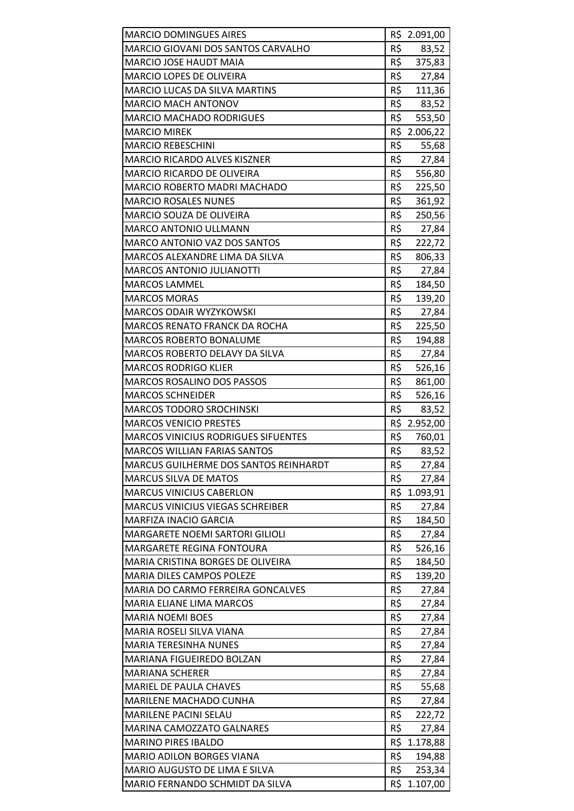| <b>MARCIO DOMINGUES AIRES</b>                |     | R\$ 2.091,00   |
|----------------------------------------------|-----|----------------|
| MARCIO GIOVANI DOS SANTOS CARVALHO           | R\$ | 83,52          |
| <b>MARCIO JOSE HAUDT MAIA</b>                | R\$ | 375,83         |
| MARCIO LOPES DE OLIVEIRA                     | R\$ | 27,84          |
| <b>MARCIO LUCAS DA SILVA MARTINS</b>         | R\$ | 111,36         |
| MARCIO MACH ANTONOV                          | R\$ | 83,52          |
| <b>MARCIO MACHADO RODRIGUES</b>              | R\$ | 553,50         |
| <b>MARCIO MIREK</b>                          |     | R\$ 2.006,22   |
| <b>MARCIO REBESCHINI</b>                     | R\$ | 55,68          |
| <b>MARCIO RICARDO ALVES KISZNER</b>          | R\$ | 27,84          |
| MARCIO RICARDO DE OLIVEIRA                   | R\$ | 556,80         |
| MARCIO ROBERTO MADRI MACHADO                 | R\$ | 225,50         |
| <b>MARCIO ROSALES NUNES</b>                  | R\$ | 361,92         |
| <b>MARCIO SOUZA DE OLIVEIRA</b>              | R\$ | 250,56         |
| <b>MARCO ANTONIO ULLMANN</b>                 | R\$ | 27,84          |
| MARCO ANTONIO VAZ DOS SANTOS                 | R\$ | 222,72         |
| MARCOS ALEXANDRE LIMA DA SILVA               | R\$ | 806,33         |
| <b>MARCOS ANTONIO JULIANOTTI</b>             | R\$ | 27,84          |
| <b>MARCOS LAMMEL</b>                         | R\$ | 184,50         |
| <b>MARCOS MORAS</b>                          | R\$ | 139,20         |
| MARCOS ODAIR WYZYKOWSKI                      | R\$ | 27,84          |
| <b>MARCOS RENATO FRANCK DA ROCHA</b>         | R\$ | 225,50         |
| <b>MARCOS ROBERTO BONALUME</b>               | R\$ | 194,88         |
| MARCOS ROBERTO DELAVY DA SILVA               | R\$ | 27,84          |
| <b>MARCOS RODRIGO KLIER</b>                  | R\$ | 526,16         |
| MARCOS ROSALINO DOS PASSOS                   | R\$ | 861,00         |
| <b>MARCOS SCHNEIDER</b>                      | R\$ | 526,16         |
| <b>MARCOS TODORO SROCHINSKI</b>              | R\$ | 83,52          |
| <b>MARCOS VENICIO PRESTES</b>                |     | R\$ 2.952,00   |
| <b>MARCOS VINICIUS RODRIGUES SIFUENTES</b>   | R\$ | 760,01         |
| <b>MARCOS WILLIAN FARIAS SANTOS</b>          | R\$ | 83,52          |
| <b>MARCUS GUILHERME DOS SANTOS REINHARDT</b> | R\$ | 27,84          |
| MARCUS SILVA DE MATOS                        | R\$ | 27,84          |
| <b>MARCUS VINICIUS CABERLON</b>              |     | R\$ 1.093,91   |
| <b>MARCUS VINICIUS VIEGAS SCHREIBER</b>      | R\$ | 27,84          |
| <b>MARFIZA INACIO GARCIA</b>                 | R\$ | 184,50         |
| <b>MARGARETE NOEMI SARTORI GILIOLI</b>       | R\$ | 27,84          |
| MARGARETE REGINA FONTOURA                    | R\$ | 526,16         |
| MARIA CRISTINA BORGES DE OLIVEIRA            | R\$ | 184,50         |
| <b>MARIA DILES CAMPOS POLEZE</b>             | R\$ | 139,20         |
| MARIA DO CARMO FERREIRA GONCALVES            | R\$ |                |
| MARIA ELIANE LIMA MARCOS                     | R\$ | 27,84<br>27,84 |
| <b>MARIA NOEMI BOES</b>                      | R\$ |                |
|                                              |     | 27,84          |
| MARIA ROSELI SILVA VIANA                     | R\$ | 27,84          |
| <b>MARIA TERESINHA NUNES</b>                 | R\$ | 27,84          |
| MARIANA FIGUEIREDO BOLZAN                    | R\$ | 27,84          |
| <b>MARIANA SCHERER</b>                       | R\$ | 27,84          |
| MARIEL DE PAULA CHAVES                       | R\$ | 55,68          |
| MARILENE MACHADO CUNHA                       | R\$ | 27,84          |
| <b>MARILENE PACINI SELAU</b>                 | R\$ | 222,72         |
| <b>MARINA CAMOZZATO GALNARES</b>             | R\$ | 27,84          |
| <b>MARINO PIRES IBALDO</b>                   |     | R\$ 1.178,88   |
| <b>MARIO ADILON BORGES VIANA</b>             | R\$ | 194,88         |
| MARIO AUGUSTO DE LIMA E SILVA                | R\$ | 253,34         |
| MARIO FERNANDO SCHMIDT DA SILVA              |     | R\$ 1.107,00   |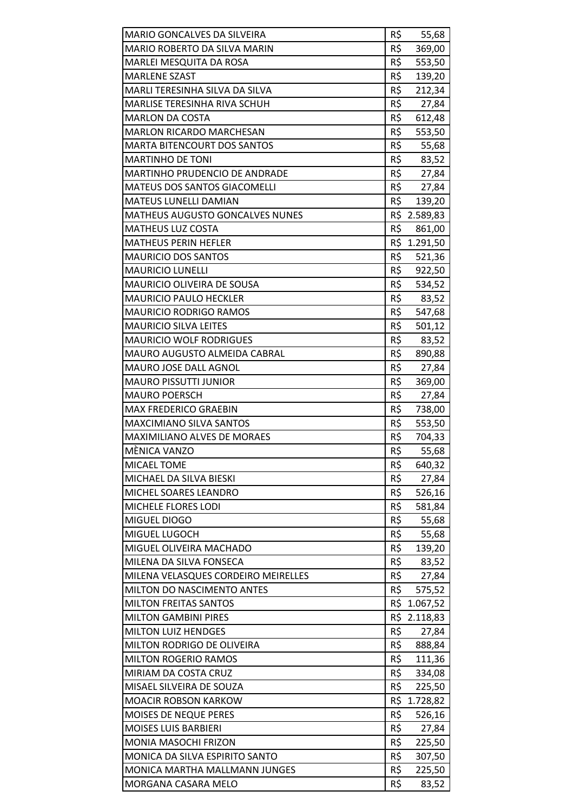| MARIO GONCALVES DA SILVEIRA            | R\$ | 55,68        |
|----------------------------------------|-----|--------------|
| MARIO ROBERTO DA SILVA MARIN           | R\$ | 369,00       |
| MARLEI MESQUITA DA ROSA                | R\$ | 553,50       |
| <b>MARLENE SZAST</b>                   | R\$ | 139,20       |
| MARLI TERESINHA SILVA DA SILVA         | R\$ | 212,34       |
| MARLISE TERESINHA RIVA SCHUH           | R\$ | 27,84        |
| <b>MARLON DA COSTA</b>                 | R\$ | 612,48       |
| <b>MARLON RICARDO MARCHESAN</b>        | R\$ | 553,50       |
| <b>MARTA BITENCOURT DOS SANTOS</b>     | R\$ | 55,68        |
| <b>MARTINHO DE TONI</b>                |     | R\$<br>83,52 |
| MARTINHO PRUDENCIO DE ANDRADE          | R\$ | 27,84        |
| MATEUS DOS SANTOS GIACOMELLI           | R\$ | 27,84        |
| <b>MATEUS LUNELLI DAMIAN</b>           | R\$ | 139,20       |
| <b>MATHEUS AUGUSTO GONCALVES NUNES</b> |     | R\$ 2.589,83 |
| <b>MATHEUS LUZ COSTA</b>               | R\$ | 861,00       |
| <b>MATHEUS PERIN HEFLER</b>            |     | R\$ 1.291,50 |
| <b>MAURICIO DOS SANTOS</b>             | R\$ | 521,36       |
| <b>MAURICIO LUNELLI</b>                | R\$ | 922,50       |
| <b>MAURICIO OLIVEIRA DE SOUSA</b>      | R\$ | 534,52       |
| <b>MAURICIO PAULO HECKLER</b>          | R\$ | 83,52        |
| <b>MAURICIO RODRIGO RAMOS</b>          | R\$ | 547,68       |
| <b>MAURICIO SILVA LEITES</b>           | R\$ | 501,12       |
| <b>MAURICIO WOLF RODRIGUES</b>         | R\$ | 83,52        |
| MAURO AUGUSTO ALMEIDA CABRAL           | R\$ | 890,88       |
| MAURO JOSE DALL AGNOL                  | R\$ | 27,84        |
| <b>MAURO PISSUTTI JUNIOR</b>           | R\$ | 369,00       |
| <b>MAURO POERSCH</b>                   | R\$ | 27,84        |
| <b>MAX FREDERICO GRAEBIN</b>           | R\$ | 738,00       |
| <b>MAXCIMIANO SILVA SANTOS</b>         | R\$ | 553,50       |
| MAXIMILIANO ALVES DE MORAES            | R\$ | 704,33       |
| MÈNICA VANZO                           | R\$ | 55,68        |
| MICAEL TOME                            | R\$ | 640,32       |
| MICHAEL DA SILVA BIESKI                | R\$ | 27,84        |
| MICHEL SOARES LEANDRO                  | R\$ | 526,16       |
| MICHELE FLORES LODI                    | R\$ | 581,84       |
| MIGUEL DIOGO                           | R\$ | 55,68        |
| MIGUEL LUGOCH                          | R\$ | 55,68        |
| MIGUEL OLIVEIRA MACHADO                | R\$ | 139,20       |
| MILENA DA SILVA FONSECA                | R\$ | 83,52        |
| MILENA VELASQUES CORDEIRO MEIRELLES    | R\$ | 27,84        |
| MILTON DO NASCIMENTO ANTES             | R\$ | 575,52       |
| <b>MILTON FREITAS SANTOS</b>           | R\$ | 1.067,52     |
| <b>MILTON GAMBINI PIRES</b>            | R\$ | 2.118,83     |
| <b>MILTON LUIZ HENDGES</b>             | R\$ | 27,84        |
| MILTON RODRIGO DE OLIVEIRA             | R\$ | 888,84       |
| <b>MILTON ROGERIO RAMOS</b>            | R\$ | 111,36       |
| MIRIAM DA COSTA CRUZ                   | R\$ | 334,08       |
| MISAEL SILVEIRA DE SOUZA               | R\$ | 225,50       |
| <b>MOACIR ROBSON KARKOW</b>            |     | R\$ 1.728,82 |
| MOISES DE NEQUE PERES                  | R\$ | 526,16       |
| <b>MOISES LUIS BARBIERI</b>            | R\$ | 27,84        |
| <b>MONIA MASOCHI FRIZON</b>            | R\$ | 225,50       |
| MONICA DA SILVA ESPIRITO SANTO         | R\$ | 307,50       |
| MONICA MARTHA MALLMANN JUNGES          | R\$ | 225,50       |
| MORGANA CASARA MELO                    | R\$ | 83,52        |
|                                        |     |              |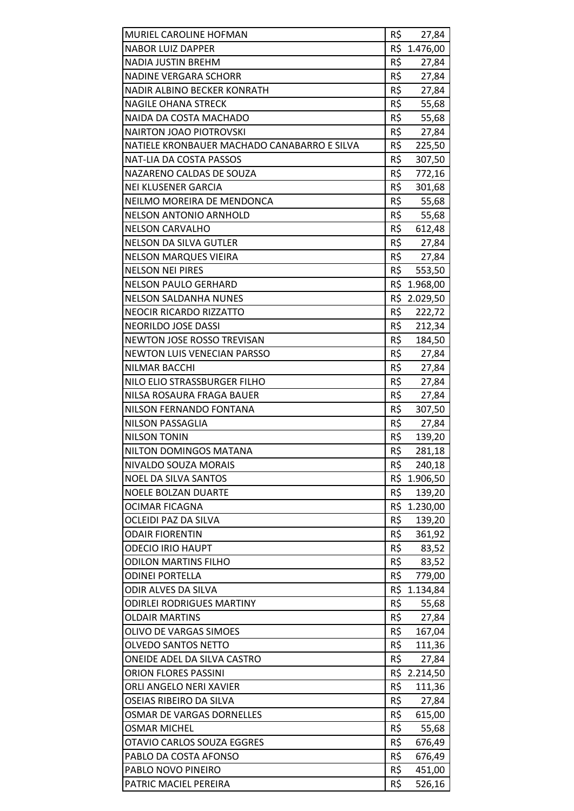| MURIEL CAROLINE HOFMAN                      | R\$<br>27,84        |
|---------------------------------------------|---------------------|
| <b>NABOR LUIZ DAPPER</b>                    | R\$<br>1.476,00     |
| <b>NADIA JUSTIN BREHM</b>                   | R\$<br>27,84        |
| <b>NADINE VERGARA SCHORR</b>                | R\$<br>27,84        |
| NADIR ALBINO BECKER KONRATH                 | R\$<br>27,84        |
| <b>NAGILE OHANA STRECK</b>                  | $R\hat{S}$<br>55,68 |
| NAIDA DA COSTA MACHADO                      | R\$<br>55,68        |
| <b>NAIRTON JOAO PIOTROVSKI</b>              | R\$<br>27,84        |
| NATIELE KRONBAUER MACHADO CANABARRO E SILVA | R\$<br>225,50       |
| NAT-LIA DA COSTA PASSOS                     | R\$<br>307,50       |
| NAZARENO CALDAS DE SOUZA                    | R\$<br>772,16       |
| <b>NEI KLUSENER GARCIA</b>                  | R\$<br>301,68       |
| NEILMO MOREIRA DE MENDONCA                  | R\$<br>55,68        |
| <b>NELSON ANTONIO ARNHOLD</b>               | R\$<br>55,68        |
| <b>NELSON CARVALHO</b>                      | R\$<br>612,48       |
| <b>NELSON DA SILVA GUTLER</b>               | $R\hat{S}$<br>27,84 |
| <b>NELSON MARQUES VIEIRA</b>                | R\$<br>27,84        |
| <b>NELSON NEI PIRES</b>                     | R\$<br>553,50       |
| <b>NELSON PAULO GERHARD</b>                 | R\$ 1.968,00        |
| <b>NELSON SALDANHA NUNES</b>                | R\$ 2.029,50        |
| <b>NEOCIR RICARDO RIZZATTO</b>              | R\$<br>222,72       |
| <b>NEORILDO JOSE DASSI</b>                  | R\$<br>212,34       |
| <b>NEWTON JOSE ROSSO TREVISAN</b>           | R\$<br>184,50       |
| <b>NEWTON LUIS VENECIAN PARSSO</b>          | R\$<br>27,84        |
| <b>NILMAR BACCHI</b>                        | R\$<br>27,84        |
| NILO ELIO STRASSBURGER FILHO                | R\$<br>27,84        |
| NILSA ROSAURA FRAGA BAUER                   | R\$<br>27,84        |
| NILSON FERNANDO FONTANA                     | R\$<br>307,50       |
| <b>NILSON PASSAGLIA</b>                     | R\$<br>27,84        |
| <b>NILSON TONIN</b>                         | R\$<br>139,20       |
| NILTON DOMINGOS MATANA                      | R\$<br>281,18       |
| <b>NIVALDO SOUZA MORAIS</b>                 | R\$<br>240,18       |
| <b>NOEL DA SILVA SANTOS</b>                 | R\$<br>1.906,50     |
| NOELE BOLZAN DUARTE                         | R\$<br>139,20       |
| <b>OCIMAR FICAGNA</b>                       | R\$ 1.230,00        |
| OCLEIDI PAZ DA SILVA                        | R\$<br>139,20       |
| <b>ODAIR FIORENTIN</b>                      | R\$<br>361,92       |
| <b>ODECIO IRIO HAUPT</b>                    | R\$<br>83,52        |
| ODILON MARTINS FILHO                        | R\$<br>83,52        |
| <b>ODINEI PORTELLA</b>                      | R\$<br>779,00       |
| ODIR ALVES DA SILVA                         | R\$ 1.134,84        |
| <b>ODIRLEI RODRIGUES MARTINY</b>            | R\$<br>55,68        |
| <b>OLDAIR MARTINS</b>                       | R\$<br>27,84        |
| OLIVO DE VARGAS SIMOES                      | R\$<br>167,04       |
| <b>OLVEDO SANTOS NETTO</b>                  | R\$<br>111,36       |
| ONEIDE ADEL DA SILVA CASTRO                 | R\$<br>27,84        |
| <b>ORION FLORES PASSINI</b>                 | R\$ 2.214,50        |
| ORLI ANGELO NERI XAVIER                     | R\$<br>111,36       |
| OSEIAS RIBEIRO DA SILVA                     | R\$<br>27,84        |
| OSMAR DE VARGAS DORNELLES                   | R\$<br>615,00       |
| <b>OSMAR MICHEL</b>                         | R\$<br>55,68        |
| OTAVIO CARLOS SOUZA EGGRES                  | R\$<br>676,49       |
| PABLO DA COSTA AFONSO                       | R\$<br>676,49       |
| PABLO NOVO PINEIRO                          | R\$<br>451,00       |
| PATRIC MACIEL PEREIRA                       | R\$<br>526,16       |
|                                             |                     |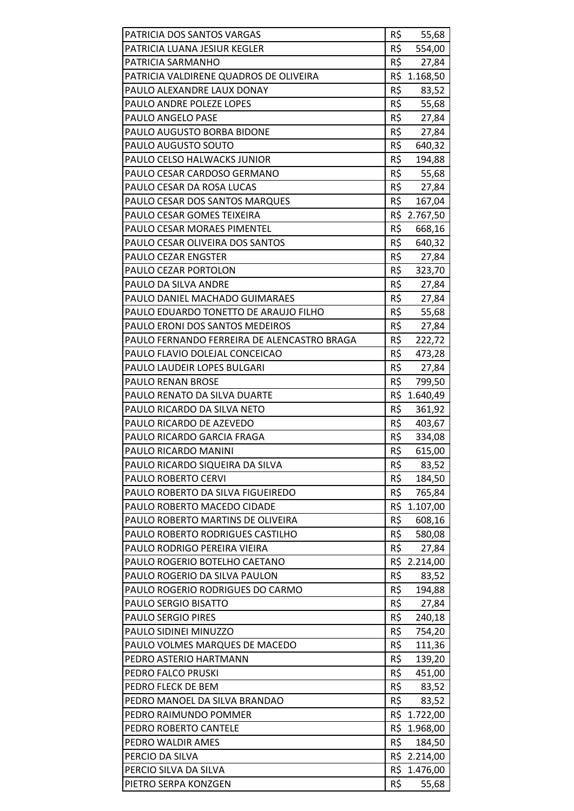| PATRICIA DOS SANTOS VARGAS                  | R\$ | 55,68        |
|---------------------------------------------|-----|--------------|
| PATRICIA LUANA JESIUR KEGLER                | R\$ | 554,00       |
| PATRICIA SARMANHO                           | R\$ | 27,84        |
| PATRICIA VALDIRENE QUADROS DE OLIVEIRA      |     | R\$ 1.168,50 |
| PAULO ALEXANDRE LAUX DONAY                  | R\$ | 83,52        |
| PAULO ANDRE POLEZE LOPES                    | R\$ | 55,68        |
| PAULO ANGELO PASE                           | R\$ | 27,84        |
| PAULO AUGUSTO BORBA BIDONE                  | R\$ | 27,84        |
| PAULO AUGUSTO SOUTO                         | R\$ | 640,32       |
| <b>PAULO CELSO HALWACKS JUNIOR</b>          | R\$ | 194,88       |
| PAULO CESAR CARDOSO GERMANO                 | R\$ | 55,68        |
| PAULO CESAR DA ROSA LUCAS                   | R\$ | 27,84        |
| PAULO CESAR DOS SANTOS MARQUES              | R\$ | 167,04       |
| PAULO CESAR GOMES TEIXEIRA                  |     | R\$ 2.767,50 |
| <b>PAULO CESAR MORAES PIMENTEL</b>          | R\$ | 668,16       |
| PAULO CESAR OLIVEIRA DOS SANTOS             | R\$ | 640,32       |
| <b>PAULO CEZAR ENGSTER</b>                  | R\$ | 27,84        |
| PAULO CEZAR PORTOLON                        | R\$ | 323,70       |
| PAULO DA SILVA ANDRE                        | R\$ | 27,84        |
| PAULO DANIEL MACHADO GUIMARAES              | R\$ | 27,84        |
| PAULO EDUARDO TONETTO DE ARAUJO FILHO       | R\$ | 55,68        |
| PAULO ERONI DOS SANTOS MEDEIROS             | R\$ | 27,84        |
| PAULO FERNANDO FERREIRA DE ALENCASTRO BRAGA | R\$ | 222,72       |
| PAULO FLAVIO DOLEJAL CONCEICAO              | R\$ | 473,28       |
| PAULO LAUDEIR LOPES BULGARI                 | R\$ | 27,84        |
| PAULO RENAN BROSE                           | R\$ | 799,50       |
| PAULO RENATO DA SILVA DUARTE                | R\$ | 1.640,49     |
| PAULO RICARDO DA SILVA NETO                 | R\$ | 361,92       |
| PAULO RICARDO DE AZEVEDO                    | R\$ | 403,67       |
| PAULO RICARDO GARCIA FRAGA                  | R\$ | 334,08       |
| PAULO RICARDO MANINI                        | R\$ | 615,00       |
| PAULO RICARDO SIQUEIRA DA SILVA             | R\$ | 83,52        |
| PAULO ROBERTO CERVI                         | R\$ | 184,50       |
| PAULO ROBERTO DA SILVA FIGUEIREDO           | R\$ | 765,84       |
| PAULO ROBERTO MACEDO CIDADE                 | R\$ | 1.107,00     |
| PAULO ROBERTO MARTINS DE OLIVEIRA           | R\$ | 608,16       |
| PAULO ROBERTO RODRIGUES CASTILHO            | R\$ | 580,08       |
| PAULO RODRIGO PEREIRA VIEIRA                | R\$ | 27,84        |
| PAULO ROGERIO BOTELHO CAETANO               |     | R\$ 2.214,00 |
| PAULO ROGERIO DA SILVA PAULON               | R\$ | 83,52        |
| PAULO ROGERIO RODRIGUES DO CARMO            | R\$ | 194,88       |
| PAULO SERGIO BISATTO                        | R\$ | 27,84        |
| <b>PAULO SERGIO PIRES</b>                   | R\$ | 240,18       |
| PAULO SIDINEI MINUZZO                       | R\$ | 754,20       |
| PAULO VOLMES MARQUES DE MACEDO              | R\$ | 111,36       |
| PEDRO ASTERIO HARTMANN                      | R\$ | 139,20       |
| PEDRO FALCO PRUSKI                          | R\$ | 451,00       |
| PEDRO FLECK DE BEM                          | R\$ | 83,52        |
| PEDRO MANOEL DA SILVA BRANDAO               | R\$ | 83,52        |
| PEDRO RAIMUNDO POMMER                       |     | R\$ 1.722,00 |
| PEDRO ROBERTO CANTELE                       | R\$ | 1.968,00     |
| PEDRO WALDIR AMES                           | R\$ | 184,50       |
| PERCIO DA SILVA                             |     | R\$ 2.214,00 |
| PERCIO SILVA DA SILVA                       |     | R\$ 1.476,00 |
| PIETRO SERPA KONZGEN                        | R\$ | 55,68        |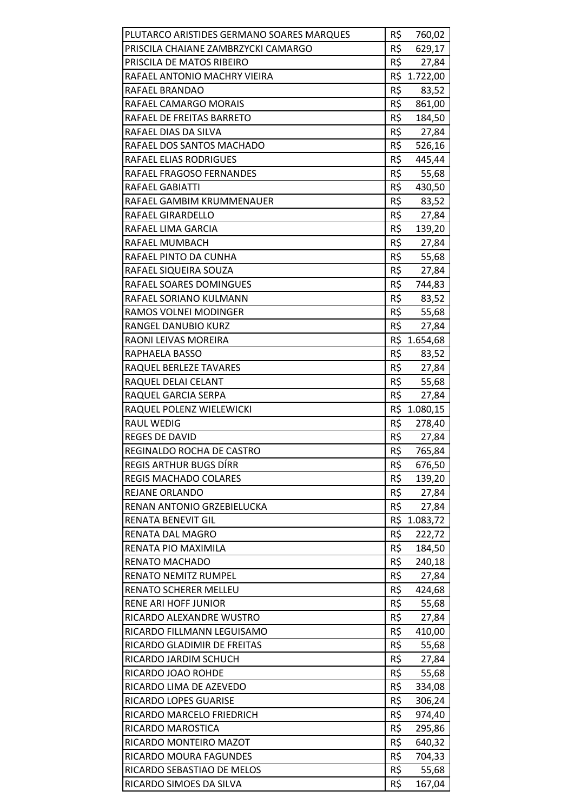| PLUTARCO ARISTIDES GERMANO SOARES MARQUES | R\$ | 760,02       |
|-------------------------------------------|-----|--------------|
| PRISCILA CHAIANE ZAMBRZYCKI CAMARGO       | R\$ | 629,17       |
| PRISCILA DE MATOS RIBEIRO                 | R\$ | 27,84        |
| RAFAEL ANTONIO MACHRY VIEIRA              | R\$ | 1.722,00     |
| RAFAEL BRANDAO                            | R\$ | 83,52        |
| RAFAEL CAMARGO MORAIS                     | R\$ | 861,00       |
| RAFAEL DE FREITAS BARRETO                 | R\$ | 184,50       |
| RAFAEL DIAS DA SILVA                      | R\$ | 27,84        |
| RAFAEL DOS SANTOS MACHADO                 | R\$ | 526,16       |
| RAFAEL ELIAS RODRIGUES                    | R\$ | 445,44       |
| RAFAEL FRAGOSO FERNANDES                  | R\$ | 55,68        |
| RAFAEL GABIATTI                           | R\$ | 430,50       |
| RAFAEL GAMBIM KRUMMENAUER                 | R\$ | 83,52        |
| RAFAEL GIRARDELLO                         | R\$ | 27,84        |
| RAFAEL LIMA GARCIA                        | R\$ | 139,20       |
| RAFAEL MUMBACH                            | R\$ | 27,84        |
| RAFAEL PINTO DA CUNHA                     | R\$ | 55,68        |
| RAFAEL SIQUEIRA SOUZA                     | R\$ | 27,84        |
| RAFAEL SOARES DOMINGUES                   | R\$ | 744,83       |
| RAFAEL SORIANO KULMANN                    | R\$ | 83,52        |
| RAMOS VOLNEI MODINGER                     | R\$ | 55,68        |
| RANGEL DANUBIO KURZ                       | R\$ | 27,84        |
| RAONI LEIVAS MOREIRA                      |     | R\$ 1.654,68 |
| RAPHAELA BASSO                            | R\$ | 83,52        |
| RAQUEL BERLEZE TAVARES                    | R\$ | 27,84        |
| RAQUEL DELAI CELANT                       | R\$ | 55,68        |
| RAQUEL GARCIA SERPA                       | R\$ | 27,84        |
| RAQUEL POLENZ WIELEWICKI                  |     | R\$ 1.080,15 |
| <b>RAUL WEDIG</b>                         | R\$ | 278,40       |
| <b>REGES DE DAVID</b>                     | R\$ | 27,84        |
| REGINALDO ROCHA DE CASTRO                 | R\$ | 765,84       |
| <b>REGIS ARTHUR BUGS DÍRR</b>             | R\$ | 676,50       |
| <b>REGIS MACHADO COLARES</b>              | R\$ | 139,20       |
| <b>REJANE ORLANDO</b>                     | R\$ | 27,84        |
| RENAN ANTONIO GRZEBIELUCKA                | R\$ | 27,84        |
| <b>RENATA BENEVIT GIL</b>                 | R\$ | 1.083,72     |
| RENATA DAL MAGRO                          | R\$ | 222,72       |
| RENATA PIO MAXIMILA                       | R\$ | 184,50       |
| RENATO MACHADO                            | R\$ | 240,18       |
| <b>RENATO NEMITZ RUMPEL</b>               | R\$ | 27,84        |
| RENATO SCHERER MELLEU                     | R\$ | 424,68       |
| RENE ARI HOFF JUNIOR                      | R\$ | 55,68        |
| RICARDO ALEXANDRE WUSTRO                  | R\$ | 27,84        |
| RICARDO FILLMANN LEGUISAMO                | R\$ | 410,00       |
| RICARDO GLADIMIR DE FREITAS               | R\$ | 55,68        |
| RICARDO JARDIM SCHUCH                     | R\$ | 27,84        |
| RICARDO JOAO ROHDE                        | R\$ | 55,68        |
| RICARDO LIMA DE AZEVEDO                   | R\$ | 334,08       |
| RICARDO LOPES GUARISE                     | R\$ | 306,24       |
| RICARDO MARCELO FRIEDRICH                 | R\$ | 974,40       |
| RICARDO MAROSTICA                         | R\$ | 295,86       |
| RICARDO MONTEIRO MAZOT                    | R\$ | 640,32       |
| RICARDO MOURA FAGUNDES                    | R\$ | 704,33       |
| RICARDO SEBASTIAO DE MELOS                | R\$ | 55,68        |
| RICARDO SIMOES DA SILVA                   | R\$ | 167,04       |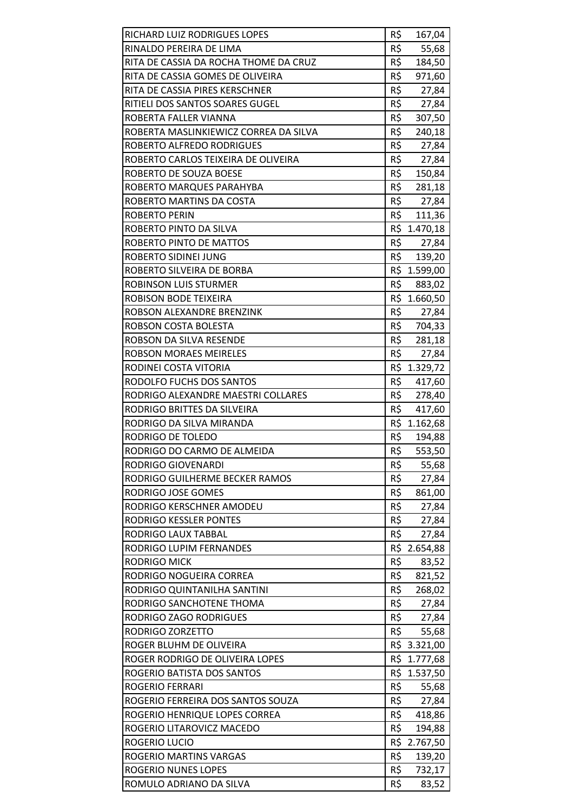| RICHARD LUIZ RODRIGUES LOPES          | R\$ | 167,04       |
|---------------------------------------|-----|--------------|
| RINALDO PEREIRA DE LIMA               | R\$ | 55,68        |
| RITA DE CASSIA DA ROCHA THOME DA CRUZ | R\$ | 184,50       |
| RITA DE CASSIA GOMES DE OLIVEIRA      | R\$ | 971,60       |
| RITA DE CASSIA PIRES KERSCHNER        | R\$ | 27,84        |
| RITIELI DOS SANTOS SOARES GUGEL       | R\$ | 27,84        |
| ROBERTA FALLER VIANNA                 | R\$ | 307,50       |
| ROBERTA MASLINKIEWICZ CORREA DA SILVA | R\$ | 240,18       |
| <b>ROBERTO ALFREDO RODRIGUES</b>      | R\$ | 27,84        |
| ROBERTO CARLOS TEIXEIRA DE OLIVEIRA   | R\$ | 27,84        |
| ROBERTO DE SOUZA BOESE                | R\$ | 150,84       |
| ROBERTO MARQUES PARAHYBA              | R\$ | 281,18       |
| ROBERTO MARTINS DA COSTA              | R\$ | 27,84        |
| <b>ROBERTO PERIN</b>                  | R\$ | 111,36       |
| ROBERTO PINTO DA SILVA                |     | R\$ 1.470,18 |
| ROBERTO PINTO DE MATTOS               | R\$ | 27,84        |
| <b>ROBERTO SIDINEI JUNG</b>           | R\$ | 139,20       |
| ROBERTO SILVEIRA DE BORBA             |     | R\$ 1.599,00 |
| ROBINSON LUIS STURMER                 | R\$ | 883,02       |
| ROBISON BODE TEIXEIRA                 |     | R\$ 1.660,50 |
| ROBSON ALEXANDRE BRENZINK             | R\$ | 27,84        |
| ROBSON COSTA BOLESTA                  | R\$ | 704,33       |
| ROBSON DA SILVA RESENDE               | R\$ | 281,18       |
| <b>ROBSON MORAES MEIRELES</b>         | R\$ | 27,84        |
| RODINEI COSTA VITORIA                 |     | R\$ 1.329,72 |
| RODOLFO FUCHS DOS SANTOS              | R\$ | 417,60       |
| RODRIGO ALEXANDRE MAESTRI COLLARES    | R\$ | 278,40       |
| RODRIGO BRITTES DA SILVEIRA           | R\$ | 417,60       |
| RODRIGO DA SILVA MIRANDA              |     | R\$ 1.162,68 |
| RODRIGO DE TOLEDO                     | R\$ | 194,88       |
| RODRIGO DO CARMO DE ALMEIDA           | R\$ | 553,50       |
| <b>RODRIGO GIOVENARDI</b>             | R\$ | 55,68        |
| RODRIGO GUILHERME BECKER RAMOS        | R\$ | 27,84        |
| RODRIGO JOSE GOMES                    | R\$ | 861,00       |
| RODRIGO KERSCHNER AMODEU              | R\$ | 27,84        |
| <b>RODRIGO KESSLER PONTES</b>         | R\$ | 27,84        |
| <b>RODRIGO LAUX TABBAL</b>            | R\$ | 27,84        |
| RODRIGO LUPIM FERNANDES               |     | R\$ 2.654,88 |
| RODRIGO MICK                          | R\$ | 83,52        |
| RODRIGO NOGUEIRA CORREA               | R\$ | 821,52       |
| RODRIGO QUINTANILHA SANTINI           | R\$ | 268,02       |
| RODRIGO SANCHOTENE THOMA              | R\$ | 27,84        |
| RODRIGO ZAGO RODRIGUES                | R\$ | 27,84        |
| RODRIGO ZORZETTO                      | R\$ | 55,68        |
| ROGER BLUHM DE OLIVEIRA               |     | R\$ 3.321,00 |
|                                       | R\$ |              |
| ROGER RODRIGO DE OLIVEIRA LOPES       |     | 1.777,68     |
| ROGERIO BATISTA DOS SANTOS            |     | R\$ 1.537,50 |
| <b>ROGERIO FERRARI</b>                | R\$ | 55,68        |
| ROGERIO FERREIRA DOS SANTOS SOUZA     | R\$ | 27,84        |
| ROGERIO HENRIQUE LOPES CORREA         | R\$ | 418,86       |
| ROGERIO LITAROVICZ MACEDO             | R\$ | 194,88       |
| ROGERIO LUCIO                         |     | R\$ 2.767,50 |
| ROGERIO MARTINS VARGAS                | R\$ | 139,20       |
| <b>ROGERIO NUNES LOPES</b>            | R\$ | 732,17       |
| ROMULO ADRIANO DA SILVA               | R\$ | 83,52        |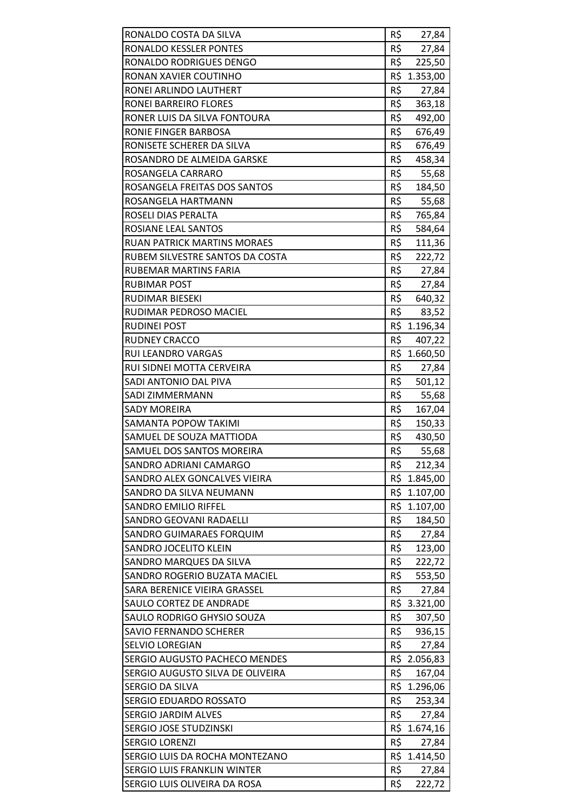| RONALDO COSTA DA SILVA             | R\$ | 27,84        |
|------------------------------------|-----|--------------|
| RONALDO KESSLER PONTES             | R\$ | 27,84        |
| RONALDO RODRIGUES DENGO            | R\$ | 225,50       |
| RONAN XAVIER COUTINHO              |     | R\$ 1.353,00 |
| RONEI ARLINDO LAUTHERT             | R\$ | 27,84        |
| RONEI BARREIRO FLORES              | R\$ | 363,18       |
| RONER LUIS DA SILVA FONTOURA       | R\$ | 492,00       |
| RONIE FINGER BARBOSA               | R\$ | 676,49       |
| RONISETE SCHERER DA SILVA          | R\$ | 676,49       |
| ROSANDRO DE ALMEIDA GARSKE         | R\$ | 458,34       |
| ROSANGELA CARRARO                  | R\$ | 55,68        |
| ROSANGELA FREITAS DOS SANTOS       | R\$ | 184,50       |
| ROSANGELA HARTMANN                 | R\$ | 55,68        |
| ROSELI DIAS PERALTA                | R\$ | 765,84       |
| ROSIANE LEAL SANTOS                | R\$ | 584,64       |
| <b>RUAN PATRICK MARTINS MORAES</b> | R\$ | 111,36       |
| RUBEM SILVESTRE SANTOS DA COSTA    | R\$ | 222,72       |
| <b>RUBEMAR MARTINS FARIA</b>       | R\$ | 27,84        |
| <b>RUBIMAR POST</b>                | R\$ | 27,84        |
| RUDIMAR BIESEKI                    | R\$ | 640,32       |
| RUDIMAR PEDROSO MACIEL             | R\$ | 83,52        |
| <b>RUDINEI POST</b>                |     | R\$ 1.196,34 |
| <b>RUDNEY CRACCO</b>               | R\$ | 407,22       |
| RUI LEANDRO VARGAS                 |     | R\$ 1.660,50 |
| RUI SIDNEI MOTTA CERVEIRA          | R\$ | 27,84        |
| SADI ANTONIO DAL PIVA              | R\$ | 501,12       |
| SADI ZIMMERMANN                    | R\$ | 55,68        |
| <b>SADY MOREIRA</b>                | R\$ | 167,04       |
| SAMANTA POPOW TAKIMI               | R\$ | 150,33       |
| SAMUEL DE SOUZA MATTIODA           | R\$ | 430,50       |
| SAMUEL DOS SANTOS MOREIRA          | R\$ | 55,68        |
| SANDRO ADRIANI CAMARGO             | R\$ | 212,34       |
| SANDRO ALEX GONCALVES VIEIRA       |     | R\$ 1.845,00 |
| SANDRO DA SILVA NEUMANN            |     | R\$ 1.107,00 |
| <b>SANDRO EMILIO RIFFEL</b>        |     | R\$ 1.107,00 |
| <b>SANDRO GEOVANI RADAELLI</b>     | R\$ | 184,50       |
| SANDRO GUIMARAES FORQUIM           | R\$ | 27,84        |
| <b>SANDRO JOCELITO KLEIN</b>       |     | R\$ 123,00   |
| SANDRO MARQUES DA SILVA            | R\$ | 222,72       |
| SANDRO ROGERIO BUZATA MACIEL       | R\$ | 553,50       |
| SARA BERENICE VIEIRA GRASSEL       | R\$ | 27,84        |
| SAULO CORTEZ DE ANDRADE            |     | R\$ 3.321,00 |
| SAULO RODRIGO GHYSIO SOUZA         | R\$ | 307,50       |
| <b>SAVIO FERNANDO SCHERER</b>      | R\$ | 936,15       |
| <b>SELVIO LOREGIAN</b>             | R\$ | 27,84        |
| SERGIO AUGUSTO PACHECO MENDES      |     | R\$ 2.056,83 |
| SERGIO AUGUSTO SILVA DE OLIVEIRA   | R\$ | 167,04       |
| SERGIO DA SILVA                    |     | R\$ 1.296,06 |
| SERGIO EDUARDO ROSSATO             | R\$ | 253,34       |
| <b>SERGIO JARDIM ALVES</b>         | R\$ | 27,84        |
| SERGIO JOSE STUDZINSKI             |     | R\$ 1.674,16 |
| <b>SERGIO LORENZI</b>              | R\$ | 27,84        |
| SERGIO LUIS DA ROCHA MONTEZANO     |     | R\$ 1.414,50 |
| SERGIO LUIS FRANKLIN WINTER        | R\$ | 27,84        |
| SERGIO LUIS OLIVEIRA DA ROSA       | R\$ | 222,72       |
|                                    |     |              |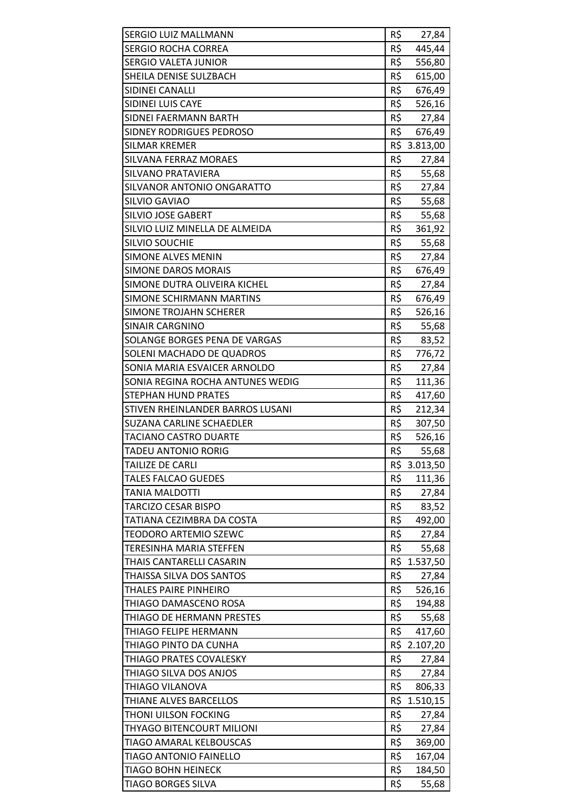| <b>SERGIO LUIZ MALLMANN</b>      | R\$ | 27,84        |
|----------------------------------|-----|--------------|
| <b>SERGIO ROCHA CORREA</b>       | R\$ | 445,44       |
| <b>SERGIO VALETA JUNIOR</b>      | R\$ | 556,80       |
| SHEILA DENISE SULZBACH           | R\$ | 615,00       |
| SIDINEI CANALLI                  | R\$ | 676,49       |
| SIDINEI LUIS CAYE                | R\$ | 526,16       |
| SIDNEI FAERMANN BARTH            | R\$ | 27,84        |
| SIDNEY RODRIGUES PEDROSO         | R\$ | 676,49       |
| <b>SILMAR KREMER</b>             |     | R\$ 3.813,00 |
| SILVANA FERRAZ MORAES            | R\$ | 27,84        |
| SILVANO PRATAVIERA               | R\$ | 55,68        |
| SILVANOR ANTONIO ONGARATTO       | R\$ | 27,84        |
| SILVIO GAVIAO                    | R\$ | 55,68        |
| SILVIO JOSE GABERT               | R\$ | 55,68        |
| SILVIO LUIZ MINELLA DE ALMEIDA   | R\$ | 361,92       |
| SILVIO SOUCHIE                   | R\$ | 55,68        |
| <b>SIMONE ALVES MENIN</b>        | R\$ | 27,84        |
| <b>SIMONE DAROS MORAIS</b>       | R\$ | 676,49       |
| SIMONE DUTRA OLIVEIRA KICHEL     | R\$ | 27,84        |
| SIMONE SCHIRMANN MARTINS         | R\$ | 676,49       |
| <b>SIMONE TROJAHN SCHERER</b>    | R\$ | 526,16       |
| <b>SINAIR CARGNINO</b>           | R\$ | 55,68        |
| SOLANGE BORGES PENA DE VARGAS    | R\$ | 83,52        |
| SOLENI MACHADO DE QUADROS        | R\$ | 776,72       |
| SONIA MARIA ESVAICER ARNOLDO     | R\$ | 27,84        |
| SONIA REGINA ROCHA ANTUNES WEDIG | R\$ | 111,36       |
| <b>STEPHAN HUND PRATES</b>       | R\$ | 417,60       |
| STIVEN RHEINLANDER BARROS LUSANI | R\$ | 212,34       |
| <b>SUZANA CARLINE SCHAEDLER</b>  | R\$ | 307,50       |
| <b>TACIANO CASTRO DUARTE</b>     | R\$ | 526,16       |
| <b>TADEU ANTONIO RORIG</b>       | R\$ | 55,68        |
| TAILIZE DE CARLI                 | R\$ | 3.013,50     |
| <b>TALES FALCAO GUEDES</b>       | R\$ | 111,36       |
| TANIA MALDOTTI                   | R\$ | 27,84        |
| TARCIZO CESAR BISPO              | R\$ | 83,52        |
| TATIANA CEZIMBRA DA COSTA        | R\$ | 492,00       |
| TEODORO ARTEMIO SZEWC            | R\$ | 27,84        |
| <b>TERESINHA MARIA STEFFEN</b>   | R\$ | 55,68        |
| THAIS CANTARELLI CASARIN         |     | R\$ 1.537,50 |
| THAISSA SILVA DOS SANTOS         | R\$ | 27,84        |
| THALES PAIRE PINHEIRO            | R\$ | 526,16       |
| THIAGO DAMASCENO ROSA            | R\$ | 194,88       |
| THIAGO DE HERMANN PRESTES        | R\$ | 55,68        |
| THIAGO FELIPE HERMANN            | R\$ | 417,60       |
| THIAGO PINTO DA CUNHA            |     | R\$ 2.107,20 |
| THIAGO PRATES COVALESKY          | R\$ | 27,84        |
| THIAGO SILVA DOS ANJOS           | R\$ | 27,84        |
| THIAGO VILANOVA                  | R\$ | 806,33       |
| THIANE ALVES BARCELLOS           | R\$ | 1.510,15     |
| THONI UILSON FOCKING             | R\$ | 27,84        |
| THYAGO BITENCOURT MILIONI        | R\$ | 27,84        |
| TIAGO AMARAL KELBOUSCAS          | R\$ | 369,00       |
| <b>TIAGO ANTONIO FAINELLO</b>    | R\$ | 167,04       |
| <b>TIAGO BOHN HEINECK</b>        | R\$ | 184,50       |
| TIAGO BORGES SILVA               | R\$ | 55,68        |
|                                  |     |              |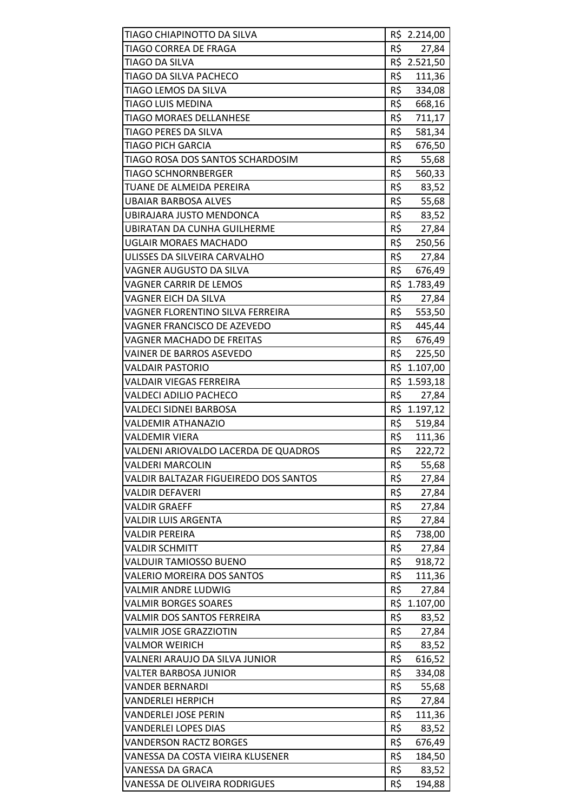| TIAGO CHIAPINOTTO DA SILVA            |     | R\$ 2.214,00 |
|---------------------------------------|-----|--------------|
| TIAGO CORREA DE FRAGA                 | R\$ | 27,84        |
| <b>TIAGO DA SILVA</b>                 | R\$ | 2.521,50     |
| TIAGO DA SILVA PACHECO                | R\$ | 111,36       |
| TIAGO LEMOS DA SILVA                  | R\$ | 334,08       |
| TIAGO LUIS MEDINA                     | R\$ | 668,16       |
| <b>TIAGO MORAES DELLANHESE</b>        | R\$ | 711,17       |
| TIAGO PERES DA SILVA                  | R\$ | 581,34       |
| TIAGO PICH GARCIA                     | R\$ | 676,50       |
| TIAGO ROSA DOS SANTOS SCHARDOSIM      | R\$ | 55,68        |
| TIAGO SCHNORNBERGER                   | R\$ | 560,33       |
| TUANE DE ALMEIDA PEREIRA              | R\$ | 83,52        |
| <b>UBAIAR BARBOSA ALVES</b>           | R\$ | 55,68        |
| UBIRAJARA JUSTO MENDONCA              | R\$ | 83,52        |
| <b>UBIRATAN DA CUNHA GUILHERME</b>    | R\$ | 27,84        |
| <b>UGLAIR MORAES MACHADO</b>          | R\$ | 250,56       |
| ULISSES DA SILVEIRA CARVALHO          | R\$ | 27,84        |
| <b>VAGNER AUGUSTO DA SILVA</b>        | R\$ | 676,49       |
| <b>VAGNER CARRIR DE LEMOS</b>         |     | R\$ 1.783,49 |
| VAGNER EICH DA SILVA                  | R\$ | 27,84        |
| VAGNER FLORENTINO SILVA FERREIRA      | R\$ | 553,50       |
| VAGNER FRANCISCO DE AZEVEDO           | R\$ | 445,44       |
| <b>VAGNER MACHADO DE FREITAS</b>      | R\$ | 676,49       |
| VAINER DE BARROS ASEVEDO              | R\$ | 225,50       |
| <b>VALDAIR PASTORIO</b>               |     | R\$ 1.107,00 |
| <b>VALDAIR VIEGAS FERREIRA</b>        | R\$ | 1.593,18     |
| <b>VALDECI ADILIO PACHECO</b>         | R\$ | 27,84        |
| VALDECI SIDNEI BARBOSA                | R\$ | 1.197,12     |
| <b>VALDEMIR ATHANAZIO</b>             | R\$ | 519,84       |
| <b>VALDEMIR VIERA</b>                 | R\$ | 111,36       |
| VALDENI ARIOVALDO LACERDA DE QUADROS  | R\$ | 222,72       |
| <b>VALDERI MARCOLIN</b>               | R\$ | 55,68        |
| VALDIR BALTAZAR FIGUEIREDO DOS SANTOS | R\$ | 27,84        |
| <b>VALDIR DEFAVERI</b>                | R\$ | 27,84        |
| <b>VALDIR GRAEFF</b>                  | R\$ | 27,84        |
| VALDIR LUIS ARGENTA                   | R\$ | 27,84        |
| <b>VALDIR PEREIRA</b>                 | R\$ | 738,00       |
| <b>VALDIR SCHMITT</b>                 | R\$ | 27,84        |
| <b>VALDUIR TAMIOSSO BUENO</b>         | R\$ | 918,72       |
| <b>VALERIO MOREIRA DOS SANTOS</b>     | R\$ | 111,36       |
| <b>VALMIR ANDRE LUDWIG</b>            | R\$ | 27,84        |
| <b>VALMIR BORGES SOARES</b>           | R\$ | 1.107,00     |
| <b>VALMIR DOS SANTOS FERREIRA</b>     | R\$ | 83,52        |
| <b>VALMIR JOSE GRAZZIOTIN</b>         | R\$ | 27,84        |
| <b>VALMOR WEIRICH</b>                 | R\$ | 83,52        |
| VALNERI ARAUJO DA SILVA JUNIOR        | R\$ | 616,52       |
| VALTER BARBOSA JUNIOR                 | R\$ | 334,08       |
| <b>VANDER BERNARDI</b>                | R\$ | 55,68        |
| <b>VANDERLEI HERPICH</b>              | R\$ | 27,84        |
| <b>VANDERLEI JOSE PERIN</b>           | R\$ | 111,36       |
| <b>VANDERLEI LOPES DIAS</b>           | R\$ | 83,52        |
| <b>VANDERSON RACTZ BORGES</b>         | R\$ | 676,49       |
| VANESSA DA COSTA VIEIRA KLUSENER      | R\$ | 184,50       |
| VANESSA DA GRACA                      | R\$ | 83,52        |
| VANESSA DE OLIVEIRA RODRIGUES         | R\$ | 194,88       |